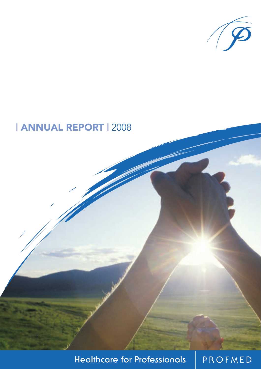

# | ANNUAL REPORT | 2008

**Healthcare for Professionals** PROFMED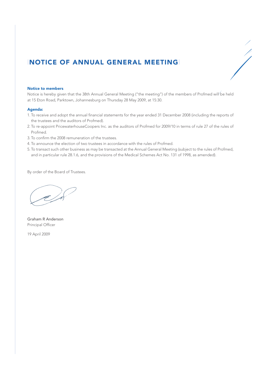# |Notice of Annual General Meeting|

#### Notice to members

Notice is hereby given that the 38th Annual General Meeting ("the meeting") of the members of Profmed will be held at 15 Eton Road, Parktown, Johannesburg on Thursday 28 May 2009, at 15:30.

#### Agenda:

- 1. To receive and adopt the annual financial statements for the year ended 31 December 2008 (including the reports of the trustees and the auditors of Profmed).
- 2. To re-appoint PricewaterhouseCoopers Inc. as the auditors of Profmed for 2009/10 in terms of rule 27 of the rules of Profmed.
- 3. To confirm the 2008 remuneration of the trustees.
- 4. To announce the election of two trustees in accordance with the rules of Profmed.
- 5. To transact such other business as may be transacted at the Annual General Meeting (subject to the rules of Profmed, and in particular rule 28.1.6, and the provisions of the Medical Schemes Act No. 131 of 1998, as amended).

By order of the Board of Trustees.

Graham R Anderson Principal Officer

19 April 2009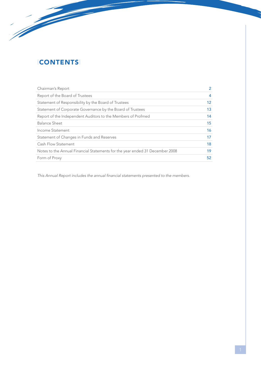# |Contents|

September 1888

| Chairman's Report                                                            | $\mathcal{P}$ |
|------------------------------------------------------------------------------|---------------|
| Report of the Board of Trustees                                              | 4             |
| Statement of Responsibility by the Board of Trustees                         | 12            |
| Statement of Corporate Governance by the Board of Trustees                   | 13            |
| Report of the Independent Auditors to the Members of Profmed                 | 14            |
| <b>Balance Sheet</b>                                                         | 15            |
| Income Statement                                                             | 16            |
| Statement of Changes in Funds and Reserves                                   | 17            |
| Cash Flow Statement                                                          | 18            |
| Notes to the Annual Financial Statements for the year ended 31 December 2008 | 19            |
| Form of Proxy                                                                | 52            |

*This Annual Report includes the annual financial statements presented to the members.*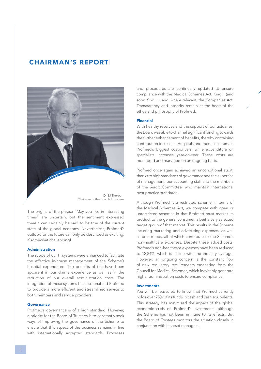# <span id="page-3-0"></span>|Chairman's Report|



Chairman of the Board of Trustees

The origins of the phrase "May you live in interesting times" are uncertain, but the sentiment expressed therein can certainly be said to be true of the current state of the global economy. Nevertheless, Profmed's outlook for the future can only be described as exciting, if somewhat challenging!

#### Administration

The scope of our IT systems were enhanced to facilitate the effective in-house management of the Scheme's hospital expenditure. The benefits of this have been apparent in our claims experience as well as in the reduction of our overall administration costs. The integration of these systems has also enabled Profmed to provide a more efficient and streamlined service to both members and service providers.

### Governance

Profmed's governance is of a high standard. However, a priority for the Board of Trustees is to constantly seek ways of improving the governance of the Scheme to ensure that this aspect of the business remains in line with internationally accepted standards. Processes

and procedures are continually updated to ensure compliance with the Medical Schemes Act, King II (and soon King III), and, where relevant, the Companies Act. Transparency and integrity remain at the heart of the ethos and philosophy of Profmed.

#### Financial

With healthy reserves and the support of our actuaries, the Board was able to channel significant funding towards the further enhancement of benefits, thereby containing contribution increases. Hospitals and medicines remain Profmed's biggest cost-drivers, while expenditure on specialists increases year-on-year. These costs are monitored and managed on an ongoing basis.

Profmed once again achieved an unconditional audit, thanks to high standards of governance and the expertise of management, our accounting staff and the members of the Audit Committee, who maintain international best practice standards.

Although Profmed is a restricted scheme in terms of the Medical Schemes Act, we compete with open or unrestricted schemes in that Profmed must market its product to the general consumer, albeit a very selected target group of that market. This results in the Scheme incurring marketing and advertising expenses, as well as broker fees, all of which contribute to the Scheme's non-healthcare expenses. Despite these added costs, Profmed's non-healthcare expenses have been reduced to 12,84%, which is in line with the industry average. However, an ongoing concern is the constant flow of new regulatory requirements emanating from the Council for Medical Schemes, which inevitably generate higher administration costs to ensure compliance.

#### Investments

You will be reassured to know that Profmed currently holds over 75% of its funds in cash and cash equivalents. This strategy has minimised the impact of the global economic crisis on Profmed's investments, although the Scheme has not been immune to its effects. But the Board of Trustees monitors the situation closely in conjunction with its asset managers.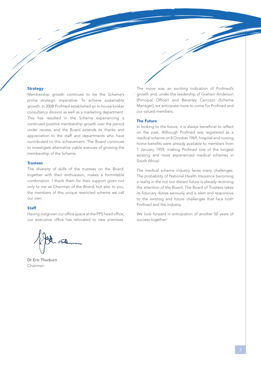#### **Strategy**

Membership growth continues to be the Scheme's prime strategic imperative. To achieve sustainable growth, in 2008 Profmed established an in-house broker consultancy division as well as a marketing department. This has resulted in the Scheme experiencing a continued positive membership growth over the period under review, and the Board extends its thanks and appreciation to the staff and departments who have contributed to this achievement. The Board continues to investigate alternative viable avenues of growing the membership of the Scheme.

### Trustees

The diversity of skills of the trustees on the Board, together with their enthusiasm, makes a formidable combination. I thank them for their support given not only to me as Chairman of the Board, but also to you, the members of this unique restricted scheme we call our own.

#### **Staff**

Having outgrown our office space at the PPS head office, our executive office has relocated to new premises.

Dr Eric Thorburn Chairman

The move was an exciting indication of Profmed's growth and, under the leadership of Graham Anderson (Principal Officer) and Beverley Carrozzo (Scheme Manager), we anticipate more to come for Profmed and our valued members.

#### The Future

In looking to the future, it is always beneficial to reflect on the past. Although Profmed was registered as a medical scheme on 8 October 1969, hospital and nursing home benefits were already available to members from 1 January 1959, making Profmed one of the longest existing and most experienced medical schemes in South Africa!

The medical scheme industry faces many challenges. The probability of National Health Insurance becoming a reality in the not too distant future is already receiving the attention of the Board. The Board of Trustees takes its fiduciary duties seriously and is alert and responsive to the existing and future challenges that face both Profmed and the industry.

We look forward in anticipation of another 50 years of success together!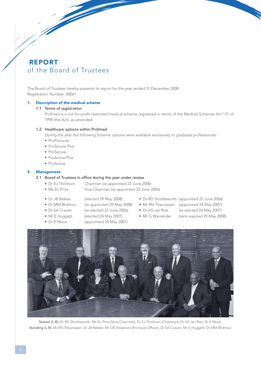# <span id="page-5-0"></span>|Report| of the Board of Trustees

The Board of Trustees hereby presents its report for the year ended 31 December 2008. Registration Number: 00061

#### 1. Description of the medical scheme

### 1.1 Terms of registration

Profmed is a not-for-profit restricted medical scheme registered in terms of the Medical Schemes Act 131 of 1998 (the Act), as amended.

#### 1.2 Healthcare options within Profmed

During the year the following Scheme options were available exclusively to graduate professionals:

- • ProPinnacle
- ProSecure Plus
- • ProSecure
- ProActive Plus
- ProActive.

#### 2. Management

### 2.1 Board of Trustees in office during the year under review

- Dr EJ Thorburn Chairman (re-appointed 22 June 2006)
- Ms EL Prins Vice-Chairman (re-appointed 22 June 2006)
- • Dr JB Bekker (elected 29 May 2008) • Dr RD Shuttleworth (appointed 22 June 2006)
- -
- 
- 
- Dr E Nkosi (appointed 24 May 2007)
- - -
- Dr MM Bhikhoo (re-appointed 29 May 2008) Mr RN Theunissen (appointed 24 May 2007)
- • Dr SA Craven (re-elected 22 June 2006) • Dr HS van Riet (re-elected 24 May 2007)
- Mr E Huggett (elected 24 May 2007) Mr G Warrender (term expired 29 May 2008).



Seated (L-R): Dr RD Shuttleworth, Ms EL Prins (Vice-Chairman), Dr EJ Thorburn (Chairman), Dr HS van Riet, Dr E Nkosi. Standing (L-R): Mr RN Theunissen, Dr JB Bekker, Mr GR Anderson (Principal Officer), Dr SA Craven, Mr E Huggett, Dr MM Bhikhoo.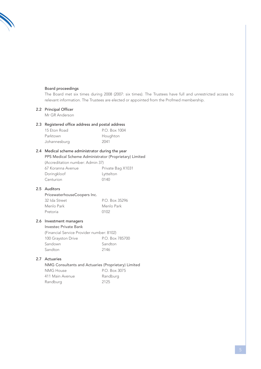### Board proceedings

The Board met six times during 2008 (2007: six times). The Trustees have full and unrestricted access to relevant information. The Trustees are elected or appointed from the Profmed membership.

#### 2.2 Principal Officer

Mr GR Anderson

### 2.3 Registered office address and postal address

| 15 Eton Road | P.O. Box 1004 |
|--------------|---------------|
| Parktown     | Houghton      |
| Johannesburg | 2041          |

### 2.4 Medical scheme administrator during the year

PPS Medical Scheme Administrator (Proprietary) Limited (Accreditation number: Admin 37) 67 Koranna Avenue Private Bag X1031 Doringkloof Lyttelton Centurion 0140

### 2.5 Auditors

| PricewaterhouseCoopers Inc. |                |
|-----------------------------|----------------|
| 32 Ida Street               | P.O. Box 35296 |
| Menlo Park                  | Menlo Park     |
| Pretoria                    | 0102           |

#### 2.6 Investment managers

Investec Private Bank (Financial Service Provider number: 8102) 100 Grayston Drive P.O. Box 785700 Sandown Sandton Sandton 2146

## 2.7 Actuaries

| NMG Consultants and Actuaries (Proprietary) Limited |               |
|-----------------------------------------------------|---------------|
| NMG House                                           | P.O. Box 3075 |
| 411 Main Avenue                                     | Randburg      |
| Randburg                                            | 2125          |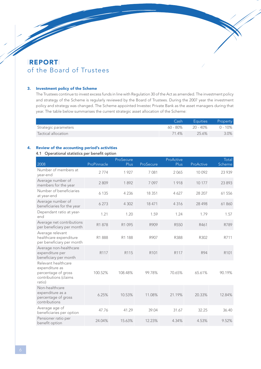# |Report| of the Board of Trustees

#### 3. Investment policy of the Scheme

The Trustees continue to invest excess funds in line with Regulation 30 of the Act as amended. The investment policy and strategy of the Scheme is regularly reviewed by the Board of Trustees. During the 2007 year the investment policy and strategy was changed. The Scheme appointed Investec Private Bank as the asset managers during that year. The table below summarises the current strategic asset allocation of the Scheme:

|                      | Cash     | Equities | Property   |
|----------------------|----------|----------|------------|
| Strategic parameters | 60 - 80% | 20 - 40% | $0 - 10\%$ |
| Tactical allocation  | 71.4%    | 25.6%    | $3.0\%$    |

### 4. Review of the accounting period's activities

#### 4.1 Operational statistics per benefit option

| 2008                                                                                            | ProPinnacle | ProSecure<br>Plus | ProSecure | ProActive<br>Plus | ProActive | Total<br>Scheme |
|-------------------------------------------------------------------------------------------------|-------------|-------------------|-----------|-------------------|-----------|-----------------|
| Number of members at<br>year-end                                                                | 2774        | 1927              | 7 0 8 1   | 2065              | 10 0 9 2  | 23 939          |
| Average number of<br>members for the year                                                       | 2809        | 1892              | 7 0 9 7   | 1918              | 10 177    | 23893           |
| Number of beneficiaries<br>at year-end                                                          | 6 1 3 5     | 4 2 3 6           | 18 351    | 4 6 27            | 28 207    | 61 556          |
| Average number of<br>beneficiaries for the year                                                 | 6 2 7 3     | 4 3 0 2           | 18 471    | 4316              | 28 4 9 8  | 61 860          |
| Dependant ratio at year-<br>end                                                                 | 1.21        | 1.20              | 1.59      | 1.24              | 1.79      | 1.57            |
| Average net contributions<br>per beneficiary per month                                          | R1 878      | R1 095            | R909      | <b>R550</b>       | R461      | R789            |
| Average relevant<br>healthcare expenditure<br>per beneficiary per month                         | R1 888      | R1 188            | R907      | R388              | R302      | R711            |
| Average non-healthcare<br>expenditure per<br>beneficiary per month                              | R117        | R115              | R101      | R117              | R94       | R101            |
| Relevant healthcare<br>expenditure as<br>percentage of gross<br>contributions (claims<br>ratio) | 100.52%     | 108.48%           | 99.78%    | 70.65%            | 65.61%    | 90.19%          |
| Non-healthcare<br>expenditure as a<br>percentage of gross<br>contributions                      | 6.25%       | 10.53%            | 11.08%    | 21.19%            | 20.33%    | 12.84%          |
| Average age of<br>beneficiaries per option                                                      | 47.76       | 41.29             | 39.04     | 31.67             | 32.25     | 36.40           |
| Pensioner ratio per<br>benefit option                                                           | 24.04%      | 15.63%            | 12.23%    | 4.34%             | 4.53%     | 9.52%           |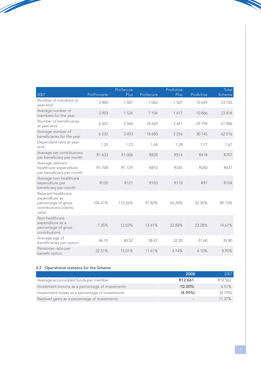| 2007                                                                                            | ProPinnacle | ProSecure<br>Plus | ProSecure        | ProActive<br>Plus | ProActive | Total<br>Scheme |
|-------------------------------------------------------------------------------------------------|-------------|-------------------|------------------|-------------------|-----------|-----------------|
| Number of members at<br>year-end                                                                | 2 900       | 1587              | 7 0 6 2          | 1 507             | 10 649    | 23 7 05         |
| Average number of<br>members for the year                                                       | 2 9 0 3     | 1 5 2 4           | 7 104            | 1 4 1 7           | 10866     | 23814           |
| Number of beneficiaries<br>at year-end                                                          | 6 507       | 3 5 4 4           | 18 6 20          | 3 4 4 1           | 29 7 9 4  | 61 906          |
| Average number of<br>beneficiaries for the year                                                 | 6532        | 3 4 0 3           | 18 680           | 3 2 5 6           | 30 145    | 62016           |
| Dependant ratio at year-<br>end                                                                 | 1.24        | 1.23              | 1.64             | 1.28              | 1.77      | 1.61            |
| Average net contributions<br>per beneficiary per month                                          | R1 633      | R1 006            | R828             | R514              | R418      | R707            |
| Average relevant<br>healthcare expenditure<br>per beneficiary per month                         | R1 708      | R1 129            | R810             | R335              | R260      | R631            |
| Average non-healthcare<br>expenditure per<br>beneficiary per month                              | R120        | R121              | R <sub>103</sub> | R118              | R97       | R104            |
| Relevant healthcare<br>expenditure as<br>percentage of gross<br>contributions (claims<br>ratio) | 104.61%     | 112.26%           | 97.82%           | 65.20%            | 62.35%    | 89.15%          |
| Non-healthcare<br>expenditure as a<br>percentage of gross<br>contributions                      | 7.35%       | 12.03%            | 12.41%           | 22.88%            | 23.28%    | 14.67%          |
| Average age of<br>beneficiaries per option                                                      | 46.74       | 40.52             | 38.47            | 32.20             | 31.60     | 35.80           |
| Pensioner ratio per<br>benefit option                                                           | 22.51%      | 15.01%            | 11.61%           | 4.74%             | 4.10%     | 8.95%           |

# 4.2 Operational statistics for the Scheme

a de la companya de la companya de la companya de la companya de la companya de la companya de la companya de

|                                                  | 2008                | 2007                |
|--------------------------------------------------|---------------------|---------------------|
| Average accumulated funds per member             | R <sub>12</sub> 661 | R <sub>12</sub> 562 |
| Investment income as a percentage of investments | 10.20%              | 6.51%               |
| Impairment losses as a percentage of investments | $(4.90\%)$          | $(0.79\%)$          |
| Realised gains as a percentage of investments    |                     | 11.37%              |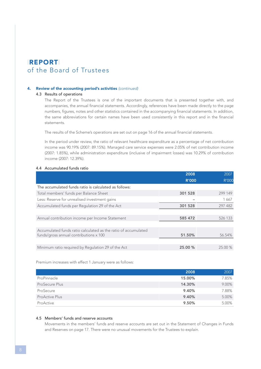# |Report| of the Board of Trustees

### 4. Review of the accounting period's activities *(continued)*

### 4.3 Results of operations

The Report of the Trustees is one of the important documents that is presented together with, and accompanies, the annual financial statements. Accordingly, references have been made directly to the page numbers, figures, notes and other statistics contained in the accompanying financial statements. In addition, the same abbreviations for certain names have been used consistently in this report and in the financial statements.

The results of the Scheme's operations are set out on page 16 of the annual financial statements.

In the period under review, the ratio of relevant healthcare expenditure as a percentage of net contribution income was 90.19% (2007: 89.15%). Managed care service expenses were 2.05% of net contribution income (2007: 1.85%), while administration expenditure (inclusive of impairment losses) was 10.29% of contribution income (2007: 12.39%).

|                                                                                                          | 2008<br><b>R'000</b> | 2007<br><b>R'000</b> |
|----------------------------------------------------------------------------------------------------------|----------------------|----------------------|
| The accumulated funds ratio is calculated as follows:                                                    |                      |                      |
| Total members' funds per Balance Sheet                                                                   | 301 528              | 299 149              |
| Less: Reserve for unrealised investment gains                                                            |                      | 1667                 |
| Accumulated funds per Regulation 29 of the Act                                                           | 301 528              | 297 482              |
|                                                                                                          |                      |                      |
| Annual contribution income per Income Statement                                                          | 585 472              | 526 133              |
|                                                                                                          |                      |                      |
| Accumulated funds ratio calculated as the ratio of accumulated<br>funds/gross annual contributions x 100 | 51.50%               | 56.54%               |
|                                                                                                          |                      |                      |
| Minimum ratio required by Regulation 29 of the Act                                                       | 25.00 %              | 25.00 %              |

#### 4.4 Accumulated funds ratio

Premium increases with effect 1 January were as follows:

|                | 2008   | 2007  |
|----------------|--------|-------|
| ProPinnacle    | 15.00% | 7.85% |
| ProSecure Plus | 14.30% | 9.00% |
| ProSecure      | 9.40%  | 7.88% |
| ProActive Plus | 9.40%  | 5.00% |
| ProActive      | 9.50%  | 5.00% |

### 4.5 Members' funds and reserve accounts

Movements in the members' funds and reserve accounts are set out in the Statement of Changes in Funds and Reserves on page 17. There were no unusual movements for the Trustees to explain.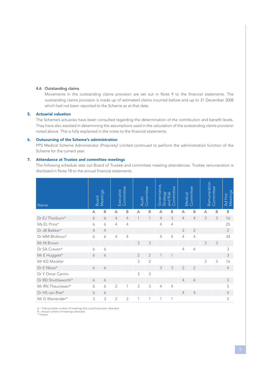#### 4.6 Outstanding claims

Movements in the outstanding claims provision are set out in Note 9 to the financial statements. The outstanding claims provision is made up of estimated claims incurred before and up to 31 December 2008 which had not been reported to the Scheme as at that date.

#### 5. Actuarial valuation

The Scheme's actuaries have been consulted regarding the determination of the contribution and benefit levels. They have also assisted in determining the assumptions used in the calculation of the outstanding claims provision noted above. This is fully explained in the notes to the financial statements.

#### 6. Outsourcing of the Scheme's administration

PPS Medical Scheme Administrator (Propriety) Limited continued to perform the administration function of the Scheme for the current year.

#### 7. Attendance at Trustee and committee meetings

The following schedule sets out Board of Trustee and committee meeting attendances. Trustee remuneration is disclosed in Note 18 to the annual financial statements.

| Name                | <b>Board</b>   | Meetings | Executive    | Committee      | Audit          | Committee      | Governance, | $\omega$<br>Committe<br>Strategy<br>and Risk | Medical        | Committee      | Remuneration | $\omega$<br>Committe | Meetings<br>Ad Hoc |
|---------------------|----------------|----------|--------------|----------------|----------------|----------------|-------------|----------------------------------------------|----------------|----------------|--------------|----------------------|--------------------|
|                     | A              | B        | A            | B              | A              | B              | A           | B                                            | A              | B              | A            | B                    | B                  |
| Dr EJ Thorburn*     | 6              | 6        | 4            | 4              | 1              | 1              | 4           | 3                                            | 4              | 4              | 3            | 3                    | 16                 |
| Ms EL Prins*        | 6              | 6        | 4            | 4              |                |                | 4           | 4                                            |                |                |              |                      | 25                 |
| Dr JB Bekker*       | $\overline{4}$ | 4        |              |                |                |                |             |                                              | $\overline{2}$ | $\overline{2}$ |              |                      | $\overline{2}$     |
| Dr MM Bhikhoo*      | 6              | 6        | 4            | 4              |                |                | 4           | 4                                            | 4              | 4              |              |                      | 34                 |
| Mr M Brown          |                |          |              |                | 3              | 3              |             |                                              |                |                | 3            | 3                    |                    |
| Dr SA Craven*       | 6              | 6        |              |                |                |                |             |                                              | 4              | 4              |              |                      | 3                  |
| Mr E Huggett*       | 6              | 6        |              |                | $\overline{2}$ | $\overline{2}$ | 1           | 1                                            |                |                |              |                      | 3                  |
| Mr KG Mockler       |                |          |              |                | 3              | $\overline{2}$ |             |                                              |                |                | 3            | 3                    | 16                 |
| Dr E Nkosi*         | 6              | 6        |              |                |                |                | 3           | 3                                            | $\overline{2}$ | $\overline{2}$ |              |                      | $\overline{4}$     |
| Dr Y Omar Carrim    |                |          |              |                | 3              | 3              |             |                                              |                |                |              |                      |                    |
| Dr RD Shuttleworth* | 6              | 6        |              |                |                |                |             |                                              | 4              | 4              |              |                      | 3                  |
| Mr RN Theunissen*   | 6              | 6        | $\mathbf{2}$ | 1              | 3              | 3              | 4           | 4                                            |                |                |              |                      | 5                  |
| Dr HS van Riet*     | 6              | 6        |              |                |                |                |             |                                              | 4              | 4              |              |                      | 4                  |
| Mr G Warrender*     | 3              | 3        | 2            | $\overline{2}$ |                | 1              | 1           | 1                                            |                |                |              |                      | 5                  |

A – Total possible number of meetings that could have been attended B – Actual number of meetings attended

\* Trustee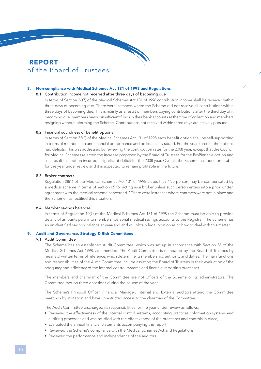# |Report| of the Board of Trustees

### 8. Non-compliance with Medical Schemes Act 131 of 1998 and Regulations

#### 8.1 Contribution income not received after three days of becoming due

In terms of Section 26(7) of the Medical Schemes Act 131 of 1998 contribution income shall be received within three days of becoming due. There were instances where the Scheme did not receive all contributions within three days of becoming due. This is mainly as a result of members paying contributions after the third day of it becoming due, members having insufficient funds in their bank accounts at the time of collection and members resigning without informing the Scheme. Contributions not received within three days are actively pursued.

#### 8.2 Financial soundness of benefit options

In terms of Section 33(2) of the Medical Schemes Act 131 of 1998 each benefit option shall be self-supporting in terms of membership and financial performance and be financially sound. For the year, three of the options had deficits. This was addressed by reviewing the contribution rates for the 2008 year, except that the Council for Medical Schemes rejected the increase proposed by the Board of Trustees for the ProPinnacle option and as a result this option incurred a significant deficit for the 2008 year. Overall, the Scheme has been profitable for the year under review and it is expected to remain profitable in the future.

#### 8.3 Broker contracts

Regulation 28(1) of the Medical Schemes Act 131 of 1998 states that "No person may be compensated by a medical scheme in terms of section 65 for acting as a broker unless such person enters into a prior written agreement with the medical scheme concerned." There were instances where contracts were not in place and the Scheme has rectified this situation.

#### 8.4 Member savings balances

In terms of Regulation 10(7) of the Medical Schemes Act 131 of 1998 the Scheme must be able to provide details of amounts paid into members' personal medical savings accounts to the Registrar. The Scheme has an unidentified savings balance at year-end and will obtain legal opinion as to how to deal with this matter.

#### 9. Audit and Governance, Strategy & Risk Committees

### 9.1 Audit Committee

The Scheme has an established Audit Committee, which was set up in accordance with Section 36 of the Medical Schemes Act 1998, as amended. The Audit Committee is mandated by the Board of Trustees by means of written terms of reference, which determine its membership, authority and duties. The main functions and responsibilities of the Audit Committee include assisting the Board of Trustees in their evaluation of the adequacy and efficiency of the internal control systems and financial reporting processes.

The members and chairman of the Committee are not officers of the Scheme or its administrators. The Committee met on three occasions during the course of the year.

The Scheme's Principal Officer, Financial Manager, Internal and External auditors attend the Committee meetings by invitation and have unrestricted access to the chairman of the Committee.

The Audit Committee discharged its responsibilities for the year under review as follows:

- • Reviewed the effectiveness of the internal control systems, accounting practices, information systems and auditing processes and was satisfied with the effectiveness of the processes and controls in place;
- Evaluated the annual financial statements accompanying this report;
- Reviewed the Scheme's compliance with the Medical Schemes Act and Regulations;
- Reviewed the performance and independence of the auditors.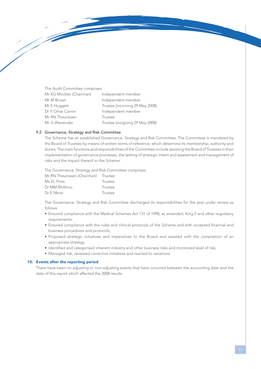The Audit Committee comprises: Mr KG Mockler (Chairman) Independent member Mr M Brown Independent member Mr E Huggett Trustee (incoming 29 May 2008) Dr Y Omar Carrim Independent member Mr RN Theunissen Trustee Mr G Warrender Trustee (outgoing 29 May 2008)

#### 9.2 Governance, Strategy and Risk Committee

**Simple Strategie** 

The Scheme has an established Governance, Strategy and Risk Committee. The Committee is mandated by the Board of Trustees by means of written terms of reference, which determine its membership, authority and duties. The main functions and responsibilities of the Committee include assisting the Board of Trustees in their implementation of governance processes, the setting of strategic intent and assessment and management of risks and the impact thereof to the Scheme.

The Governance, Strategy and Risk Committee comprises:

| Mr RN Theunissen (Chairman) | Trustee |
|-----------------------------|---------|
| Ms EL Prins                 | Trustee |
| Dr MM Bhikhoo               | Trustee |
| Dr E Nkosi                  | Trustee |

The Governance, Strategy and Risk Committee discharged its responsibilities for the year under review as follows:

- Ensured compliance with the Medical Schemes Act 131 of 1998, as amended, King II and other regulatory requirements;
- • Ensured compliance with the rules and clinical protocols of the Scheme and with accepted financial and business procedures and protocols;
- • Proposed strategic initiatives and imperatives to the Board and assisted with the compilation of an appropriate strategy;
- Identified and categorised inherent industry and other business risks and monitored level of risk;
- Managed risk, reviewed corrective initiatives and reacted to variations.

#### 10. Events after the reporting period

There have been no adjusting or non-adjusting events that have occurred between the accounting date and the date of this report which affected the 2008 results.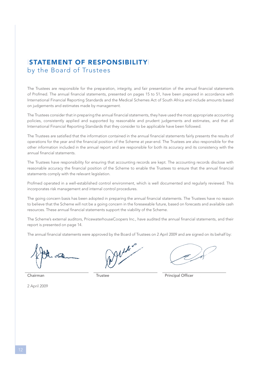# <span id="page-13-0"></span>|Statement of Responsibility| by the Board of Trustees

The Trustees are responsible for the preparation, integrity, and fair presentation of the annual financial statements of Profmed. The annual financial statements, presented on pages 15 to 51, have been prepared in accordance with International Financial Reporting Standards and the Medical Schemes Act of South Africa and include amounts based on judgements and estimates made by management.

The Trustees consider that in preparing the annual financial statements, they have used the most appropriate accounting policies, consistently applied and supported by reasonable and prudent judgements and estimates, and that all International Financial Reporting Standards that they consider to be applicable have been followed.

The Trustees are satisfied that the information contained in the annual financial statements fairly presents the results of operations for the year and the financial position of the Scheme at year-end. The Trustees are also responsible for the other information included in the annual report and are responsible for both its accuracy and its consistency with the annual financial statements.

The Trustees have responsibility for ensuring that accounting records are kept. The accounting records disclose with reasonable accuracy the financial position of the Scheme to enable the Trustees to ensure that the annual financial statements comply with the relevant legislation.

Profmed operated in a well-established control environment, which is well documented and regularly reviewed. This incorporates risk management and internal control procedures.

The going concern basis has been adopted in preparing the annual financial statements. The Trustees have no reason to believe that the Scheme will not be a going concern in the foreseeable future, based on forecasts and available cash resources. These annual financial statements support the viability of the Scheme.

The Scheme's external auditors, PricewaterhouseCoopers Inc., have audited the annual financial statements, and their report is presented on page 14.

The annual financial statements were approved by the Board of Trustees on 2 April 2009 and are signed on its behalf by:

 $\mathcal{W}^{\mathcal{F}^{\mathcal{F}^{\mathcal{F}^{\mathcal{F}^{\mathcal{F}^{\mathcal{F}^{\mathcal{F}^{\mathcal{F}^{\mathcal{F}^{\mathcal{F}^{\mathcal{F}^{\mathcal{F}^{\mathcal{F}^{\mathcal{F}^{\mathcal{F}^{\mathcal{F}^{\mathcal{F}^{\mathcal{F}^{\mathcal{F}^{\mathcal{F}^{\mathcal{F}^{\mathcal{F}^{\mathcal{F}^{\mathcal{F}^{\mathcal{F}^{\mathcal{F}^{\mathcal{F}^{\mathcal{F}^{\mathcal{F}^{\mathcal{F}^{\mathcal$ 

Chairman **Chairman** Trustee **Principal Officer** Principal Officer

2 April 2009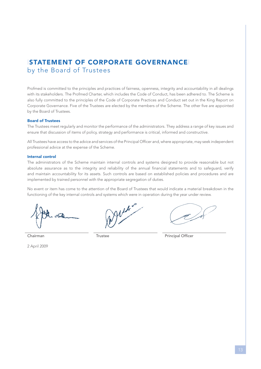# <span id="page-14-0"></span>|Statement of Corporate Governance| by the Board of Trustees

Profmed is committed to the principles and practices of fairness, openness, integrity and accountability in all dealings with its stakeholders. The Profmed Charter, which includes the Code of Conduct, has been adhered to. The Scheme is also fully committed to the principles of the Code of Corporate Practices and Conduct set out in the King Report on Corporate Governance. Five of the Trustees are elected by the members of the Scheme. The other five are appointed by the Board of Trustees.

#### Board of Trustees

The Trustees meet regularly and monitor the performance of the administrators. They address a range of key issues and ensure that discussion of items of policy, strategy and performance is critical, informed and constructive.

All Trustees have access to the advice and services of the Principal Officer and, where appropriate, may seek independent professional advice at the expense of the Scheme.

#### Internal control

The administrators of the Scheme maintain internal controls and systems designed to provide reasonable but not absolute assurance as to the integrity and reliability of the annual financial statements and to safeguard, verify and maintain accountability for its assets. Such controls are based on established policies and procedures and are implemented by trained personnel with the appropriate segregation of duties.

No event or item has come to the attention of the Board of Trustees that would indicate a material breakdown in the functioning of the key internal controls and systems which were in operation during the year under review.

West of

2 April 2009

Chairman **Trustee Chairman Chairman** Trustee **Principal Officer**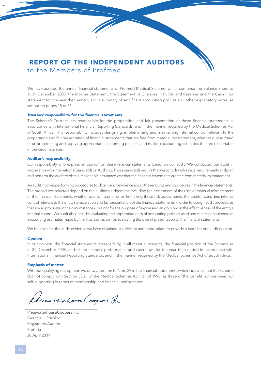# <span id="page-15-0"></span>|Report of the Independent Auditors| to the Members of Profmed

We have audited the annual financial statements of Profmed Medical Scheme, which comprise the Balance Sheet as at 31 December 2008, the Income Statement, the Statement of Changes in Funds and Reserves and the Cash Flow statement for the year then ended, and a summary of significant accounting policies and other explanatory notes, as set out on pages 15 to 51.

#### Trustees' responsibility for the financial statements

The Scheme's Trustees are responsible for the preparation and fair presentation of these financial statements in accordance with International Financial Reporting Standards, and in the manner required by the Medical Schemes Act of South Africa. This responsibility includes designing, implementing and maintaining internal control relevant to the preparation and fair presentation of financial statements that are free from material misstatement, whether due to fraud or error; selecting and applying appropriate accounting policies; and making accounting estimates that are reasonable in the circumstances.

#### Auditor's responsibility

Our responsibility is to express an opinion on these financial statements based on our audit. We conducted our audit in accordance with International Standards on Auditing. Those standards require that we comply with ethical requirements and plan and perform the audit to obtain reasonable assurance whether the financial statements are free from material misstatement.

An audit involves performing procedures to obtain audit evidence about the amounts and disclosures in the financial statements. The procedures selected depend on the auditor's judgement, including the assessment of the risks of material misstatement of the financial statements, whether due to fraud or error. In making those risk assessments, the auditor considers internal control relevant to the entity's preparation and fair presentation of the financial statements in order to design audit procedures that are appropriate in the circumstances, but not for the purpose of expressing an opinion on the effectiveness of the entity's internal control. An audit also includes evaluating the appropriateness of accounting policies used and the reasonableness of accounting estimates made by the Trustees, as well as evaluating the overall presentation of the financial statements.

We believe that the audit evidence we have obtained is sufficient and appropriate to provide a basis for our audit opinion.

#### **Opinion**

In our opinion, the financial statements present fairly, in all material respects, the financial position of the Scheme as at 31 December 2008, and of the financial performance and cash flows for the year then ended in accordance with International Financial Reporting Standards, and in the manner required by the Medical Schemes Act of South Africa.

#### Emphasis of matter

Without qualifying our opinion we draw attention to Note 29 in the financial statements which indicates that the Scheme did not comply with Section 33(2), of the Medical Schemes Act 131 of 1998, as three of the benefit options were not self-supporting in terms of membership and financial performance.

Pricewaterhouse Coopers Lc.

PricewaterhouseCoopers Inc. Director: J Prinsloo Registered Auditor Pretoria 20 April 2009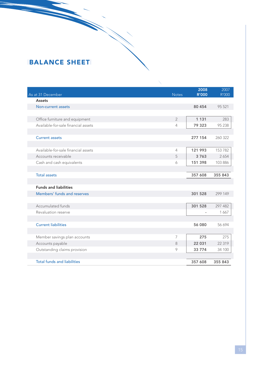# <span id="page-16-0"></span>|Balance Sheet|

| As at 31 December                   | <b>Notes</b>   | 2008<br><b>R'000</b> | 2007<br><b>R'000</b> |
|-------------------------------------|----------------|----------------------|----------------------|
| <b>Assets</b>                       |                |                      |                      |
| Non-current assets                  |                | 80 454               | 95 521               |
|                                     |                |                      |                      |
| Office furniture and equipment      | $\overline{2}$ | 1 1 3 1              | 283                  |
| Available-for-sale financial assets | 4              | 79 323               | 95 238               |
|                                     |                |                      |                      |
| <b>Current assets</b>               |                | 277 154              | 260 322              |
|                                     |                |                      |                      |
| Available-for-sale financial assets | $\overline{4}$ | 121 993              | 153782               |
| Accounts receivable                 | 5              | 3763                 | 2654                 |
| Cash and cash equivalents           | 6              | 151 398              | 103 886              |
|                                     |                |                      |                      |
| <b>Total assets</b>                 |                | 357 608              | 355 843              |
|                                     |                |                      |                      |
| <b>Funds and liabilities</b>        |                |                      |                      |
| Members' funds and reserves         |                | 301 528              | 299 149              |
|                                     |                |                      |                      |
| Accumulated funds                   |                | 301 528              | 297 482              |
| Revaluation reserve                 |                |                      | 1667                 |
|                                     |                |                      |                      |
| <b>Current liabilities</b>          |                | 56 080               | 56 694               |
|                                     |                |                      |                      |
| Member savings plan accounts        | 7              | 275                  | 275                  |
| Accounts payable                    | 8              | 22 031               | 22 3 19              |
| Outstanding claims provision        | 9              | 33 7 7 4             | 34 100               |
|                                     |                |                      |                      |
| <b>Total funds and liabilities</b>  |                | 357 608              | 355 843              |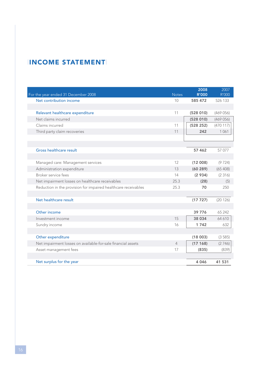# <span id="page-17-0"></span>|Income Statement|

|                                                                |                | 2008         | 2007     |
|----------------------------------------------------------------|----------------|--------------|----------|
| For the year ended 31 December 2008                            | <b>Notes</b>   | <b>R'000</b> | R'000    |
| Net contribution income                                        | 10             | 585 472      | 526 133  |
|                                                                |                |              |          |
| Relevant healthcare expenditure                                | 11             | (528010)     | (469056) |
| Net claims incurred                                            |                | (528010)     | (469056) |
| Claims incurred                                                | 11             | (528 252)    | (470117) |
| Third party claim recoveries                                   | 11             | 242          | 1 0 6 1  |
|                                                                |                |              |          |
|                                                                |                |              |          |
| Gross healthcare result                                        |                | 57 462       | 57 077   |
|                                                                |                |              |          |
| Managed care: Management services                              | 12             | (12008)      | (9724)   |
| Administration expenditure                                     | 13             | (60289)      | (65408)  |
| Broker service fees                                            | 14             | (2934)       | (2316)   |
| Net impairment losses on healthcare receivables                | 25.3           | (28)         | (5)      |
| Reduction in the provision for impaired healthcare receivables | 25.3           | 70           | 250      |
|                                                                |                |              |          |
| Net healthcare result                                          |                | (17727)      | (20 126) |
|                                                                |                |              |          |
| Other income                                                   |                | 39 7 7 6     | 65 24 2  |
| Investment income                                              | 15             | 38 0 34      | 64 610   |
| Sundry income                                                  | 16             | 1742         | 632      |
|                                                                |                |              |          |
| Other expenditure                                              |                | (18003)      | (3585)   |
| Net impairment losses on available-for-sale financial assets   | $\overline{4}$ | (17168)      | (2746)   |
| Asset management fees                                          | 17             | (835)        | (839)    |
|                                                                |                |              |          |
| Net surplus for the year                                       |                | 4 0 4 6      | 41 531   |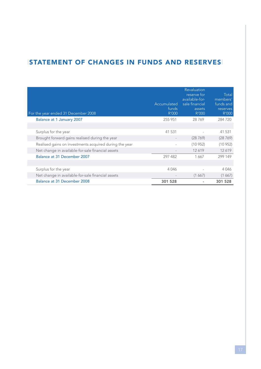# <span id="page-18-0"></span>|Statement of Changes in Funds and Reserves|

| For the year ended 31 December 2008                    | Accumulated<br>funds<br>R'000 | Revaluation<br>reserve for<br>available-for-<br>sale financial<br>assets<br>R'000 | Total<br>members'<br>funds and<br>reserves<br><b>R'000</b> |
|--------------------------------------------------------|-------------------------------|-----------------------------------------------------------------------------------|------------------------------------------------------------|
| Balance at 1 January 2007                              | 255 951                       | 28769                                                                             | 284 720                                                    |
|                                                        |                               |                                                                                   |                                                            |
| Surplus for the year                                   | 41 531                        |                                                                                   | 41 531                                                     |
| Brought forward gains realised during the year         |                               | (28769)                                                                           | (28769)                                                    |
| Realised gains on investments acquired during the year |                               | (10952)                                                                           | (10952)                                                    |
| Net change in available-for-sale financial assets      |                               | 12619                                                                             | 12619                                                      |
| Balance at 31 December 2007                            | 297 482                       | 1667                                                                              | 299 149                                                    |
|                                                        |                               |                                                                                   |                                                            |
| Surplus for the year                                   | 4046                          |                                                                                   | 4046                                                       |
| Net change in available-for-sale financial assets      |                               | (1667)                                                                            | (1667)                                                     |
| Balance at 31 December 2008                            | 301 528                       |                                                                                   | 301 528                                                    |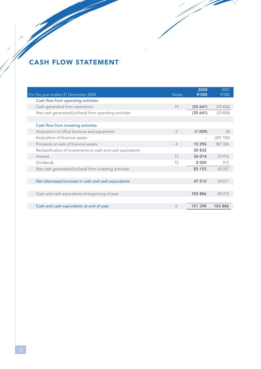# <span id="page-19-0"></span>|Cash Flow Statement|

| For the year ended 31 December 2008                          | <b>Notes</b>   | 2008<br><b>R'000</b>     | 2007<br>R'000 |
|--------------------------------------------------------------|----------------|--------------------------|---------------|
| Cash flow from operating activities                          |                |                          |               |
| Cash generated from operations                               | 19             | (35641)                  | (10426)       |
| Net cash generated/(utilised) from operating activities      |                | (35641)                  | (10426)       |
|                                                              |                |                          |               |
| Cash flow from investing activities                          |                |                          |               |
| Acquisition of office furniture and equipment                | $\overline{2}$ | (1 009)                  | (4)           |
| Acquisition of financial assets                              |                | $\overline{\phantom{a}}$ | (347 182)     |
| Proceeds on sale of financial assets                         | 4              | 15 2 9 6                 | 387 334       |
| Reclassification of investments to cash and cash equivalents |                | 30 832                   |               |
| Interest                                                     | 15             | 36 014                   | 23976         |
| Dividends                                                    | 15             | 2 0 2 0                  | 913           |
| Net cash generated/(utilised) from investing activities      |                | 83 153                   | 65 037        |
|                                                              |                |                          |               |
| Net (decrease)/increase in cash and cash equivalents         |                | 47 512                   | 54 611        |
|                                                              |                |                          |               |
| Cash and cash equivalents at beginning of year               |                | 103 886                  | 49 275        |
|                                                              |                |                          |               |
| Cash and cash equivalents at end of year                     | 6              | 151 398                  | 103886        |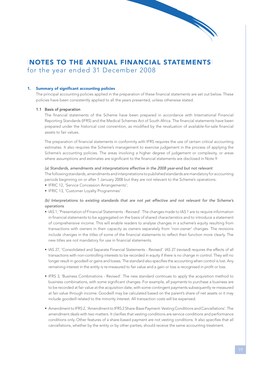

# <span id="page-20-0"></span>|Notes to the Annual Financial Statements| for the year ended 31 December 2008

#### 1. Summary of significant accounting policies

The principal accounting policies applied in the preparation of these financial statements are set out below. These policies have been consistently applied to all the years presented, unless otherwise stated.

#### 1.1 Basis of preparation

The financial statements of the Scheme have been prepared in accordance with International Financial Reporting Standards (IFRS) and the Medical Schemes Act of South Africa. The financial statements have been prepared under the historical cost convention, as modified by the revaluation of available-for-sale financial assets to fair values.

The preparation of financial statements in conformity with IFRS requires the use of certain critical accounting estimates. It also requires the Scheme's management to exercise judgement in the process of applying the Scheme's accounting policies. The areas involving a higher degree of judgement or complexity, or areas where assumptions and estimates are significant to the financial statements are disclosed in Note 9.

#### *(a) Standards, amendments and interpretations effective in the 2008 year-end but not relevant*

The following standards, amendments and interpretations to published standards are mandatory for accounting periods beginning on or after 1 January 2008 but they are not relevant to the Scheme's operations:

- IFRIC 12, 'Service Concession Arrangements';
- IFRIC 13, 'Customer Loyalty Programmes'.

### *(b) Interpretations to existing standards that are not yet effective and not relevant for the Scheme's operations*

- • IAS 1, 'Presentation of Financial Statements Revised'. The changes made to IAS 1 are to require information in financial statements to be aggregated on the basis of shared characteristics and to introduce a statement of comprehensive income. This will enable readers to analyse changes in a scheme's equity resulting from transactions with owners in their capacity as owners separately from 'non-owner' changes. The revisions include changes in the titles of some of the financial statements to reflect their function more clearly. The new titles are not mandatory for use in financial statements.
- • IAS 27, 'Consolidated and Separate Financial Statements Revised'. IAS 27 (revised) requires the effects of all transactions with non-controlling interests to be recorded in equity if there is no change in control. They will no longer result in goodwill or gains and losses. The standard also specifies the accounting when control is lost. Any remaining interest in the entity is re-measured to fair value and a gain or loss is recognised in profit or loss.
- IFRS 3, 'Business Combinations Revised'. The new standard continues to apply the acquisition method to business combinations, with some significant changes. For example, all payments to purchase a business are to be recorded at fair value at the acquisition date, with some contingent payments subsequently re-measured at fair value through income. Goodwill may be calculated based on the parent's share of net assets or it may include goodwill related to the minority interest. All transaction costs will be expensed.
- • Amendment to IFRS 2, 'Amendment to IFRS 2 Share-Base Payment: Vesting Conditions and Cancellations'. The amendment deals with two matters. It clarifies that vesting conditions are service conditions and performance conditions only. Other features of a share-based payment are not vesting conditions. It also specifies that all cancellations, whether by the entity or by other parties, should receive the same accounting treatment.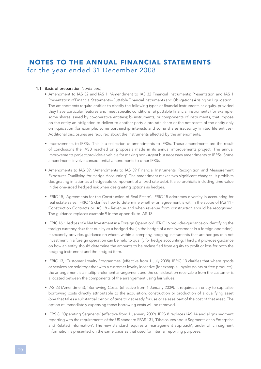#### 1.1 Basis of preparation *(continued)*

- • Amendment to IAS 32 and IAS 1, 'Amendment to IAS 32 Financial Instruments: Presentation and IAS 1 Presentation of Financial Statements - Puttable Financial Instruments and Obligations Arising on Liquidation'. The amendments require entities to classify the following types of financial instruments as equity, provided they have particular features and meet specific conditions: a) puttable financial instruments (for example, some shares issued by co-operative entities); b) instruments, or components of instruments, that impose on the entity an obligation to deliver to another party a pro rata share of the net assets of the entity only on liquidation (for example, some partnership interests and some shares issued by limited life entities). Additional disclosures are required about the instruments affected by the amendments.
- • Improvements to IFRSs. This is a collection of amendments to IFRSs. These amendments are the result of conclusions the IASB reached on proposals made in its annual improvements project. The annual improvements project provides a vehicle for making non-urgent but necessary amendments to IFRSs. Some amendments involve consequential amendments to other IFRSs.
- Amendments to IAS 39, 'Amendments to IAS 39 Financial Instruments: Recognition and Measurement Exposures Qualifying for Hedge Accounting'. The amendment makes two significant changes. It prohibits designating inflation as a hedgeable component of a fixed rate debt. It also prohibits including time value in the one-sided hedged risk when designating options as hedges.
- • IFRIC 15, 'Agreements for the Construction of Real Estate'. IFRIC 15 addresses diversity in accounting for real estate sales. IFRIC 15 clarifies how to determine whether an agreement is within the scope of IAS 11 - Construction Contracts or IAS 18 - Revenue and when revenue from construction should be recognised. The guidance replaces example 9 in the appendix to IAS 18.
- • IFRIC 16, 'Hedges of a Net Investment in a Foreign Operation'. IFRIC 16 provides guidance on identifying the foreign currency risks that qualify as a hedged risk (in the hedge of a net investment in a foreign operation). It secondly provides guidance on where, within a company, hedging instruments that are hedges of a net investment in a foreign operation can be held to qualify for hedge accounting. Thirdly, it provides guidance on how an entity should determine the amounts to be reclassified from equity to profit or loss for both the hedging instrument and the hedged item.
- • IFRIC 13, 'Customer Loyalty Programmes' (effective from 1 July 2008). IFRIC 13 clarifies that where goods or services are sold together with a customer loyalty incentive (for example, loyalty points or free products), the arrangement is a multiple-element arrangement and the consideration receivable from the customer is allocated between the components of the arrangement using fair values.
- IAS 23 (Amendment), 'Borrowing Costs' (effective from 1 January 2009). It requires an entity to capitalise borrowing costs directly attributable to the acquisition, construction or production of a qualifying asset (one that takes a substantial period of time to get ready for use or sale) as part of the cost of that asset. The option of immediately expensing those borrowing costs will be removed.
- • IFRS 8, 'Operating Segments' (effective from 1 January 2009). IFRS 8 replaces IAS 14 and aligns segment reporting with the requirements of the US standard SFAS 131, 'Disclosures about Segments of an Enterprise and Related Information'. The new standard requires a 'management approach', under which segment information is presented on the same basis as that used for internal reporting purposes.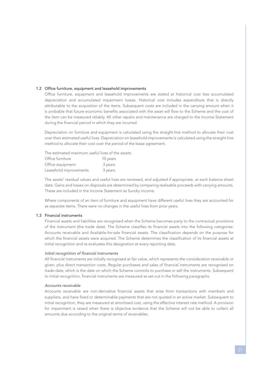#### 1.2 Office furniture, equipment and leasehold improvements

Office furniture, equipment and leasehold improvements are stated at historical cost less accumulated depreciation and accumulated impairment losses. Historical cost includes expenditure that is directly attributable to the acquisition of the items. Subsequent costs are included in the carrying amount when it is probable that future economic benefits associated with the asset will flow to the Scheme and the cost of the item can be measured reliably. All other repairs and maintenance are charged to the Income Statement during the financial period in which they are incurred.

Depreciation on furniture and equipment is calculated using the straight-line method to allocate their cost over their estimated useful lives. Depreciation on leasehold improvements is calculated using the straight-line method to allocate their cost over the period of the lease agreement.

The estimated maximum useful lives of the assets:

| Office furniture       | 10 years |
|------------------------|----------|
| Office equipment       | 3 years  |
| Leasehold improvements | 3 years. |

The assets' residual values and useful lives are reviewed, and adjusted if appropriate, at each balance sheet date. Gains and losses on disposals are determined by comparing realisable proceeds with carrying amounts. These are included in the Income Statement as Sundry income.

Where components of an item of furniture and equipment have different useful lives they are accounted for as separate items. There were no changes in the useful lives from prior years.

#### 1.3 Financial instruments

Financial assets and liabilities are recognised when the Scheme becomes party to the contractual provisions of the instrument (the trade date). The Scheme classifies its financial assets into the following categories: Accounts receivable and Available-for-sale financial assets. The classification depends on the purpose for which the financial assets were acquired. The Scheme determines the classification of its financial assets at initial recognition and re-evaluates this designation at every reporting date.

#### *Initial recognition of financial instruments*

All financial instruments are initially recognised at fair value, which represents the consideration receivable or given, plus direct transaction costs. Regular purchases and sales of financial instruments are recognised on trade-date, which is the date on which the Scheme commits to purchase or sell the instruments. Subsequent to initial recognition, financial instruments are measured as set out in the following paragraphs.

#### *Accounts receivable*

Accounts receivable are non-derivative financial assets that arise from transactions with members and suppliers, and have fixed or determinable payments that are not quoted in an active market. Subsequent to initial recognition, they are measured at amortised cost, using the effective interest rate method. A provision for impairment is raised when there is objective evidence that the Scheme will not be able to collect all amounts due according to the original terms of receivables.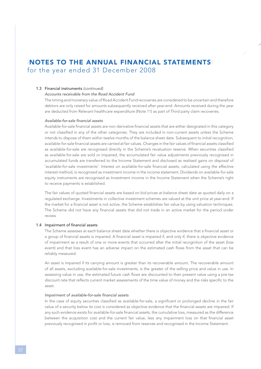#### 1.3 Financial instruments *(continued)*

### *Accounts receivable from the Road Accident Fund*

The timing and monetary value of Road Accident Fund recoveries are considered to be uncertain and therefore debtors are only raised for amounts subsequently received after year-end. Amounts received during the year are deducted from Relevant healthcare expenditure (Note 11) as part of Third party claim recoveries.

#### *Available-for-sale financial assets*

Available-for-sale financial assets are non-derivative financial assets that are either designated in this category or not classified in any of the other categories. They are included in non-current assets unless the Scheme intends to dispose of them within twelve months of the balance sheet date. Subsequent to initial recognition, available-for-sale financial assets are carried at fair values. Changes in the fair values of financial assets classified as available-for-sale are recognised directly in the Scheme's revaluation reserve. When securities classified as available-for-sale are sold or impaired, the accumulated fair value adjustments previously recognised in accumulated funds are transferred to the Income Statement and disclosed as realised gains on disposal of 'available-for-sale investments'. Interest on available-for-sale financial assets, calculated using the effective interest method, is recognised as investment income in the income statement. Dividends on available-for-sale equity instruments are recognised as Investment income in the Income Statement when the Scheme's right to receive payments is established.

The fair values of quoted financial assets are based on bid prices at balance sheet date as quoted daily on a regulated exchange. Investments in collective investment schemes are valued at the unit price at year-end. If the market for a financial asset is not active, the Scheme establishes fair value by using valuation techniques. The Scheme did not have any financial assets that did not trade in an active market for the period under review.

#### 1.4 Impairment of financial assets

The Scheme assesses at each balance sheet date whether there is objective evidence that a financial asset or a group of financial assets is impaired. A financial asset is impaired if, and only if, there is objective evidence of impairment as a result of one or more events that occurred after the initial recognition of the asset (loss event) and that loss event has an adverse impact on the estimated cash flows from the asset that can be reliably measured.

An asset is impaired if its carrying amount is greater than its recoverable amount. The recoverable amount of all assets, excluding available-for-sale investments, is the greater of the selling price and value in use. In assessing value in use, the estimated future cash flows are discounted to their present value using a pre-tax discount rate that reflects current market assessments of the time value of money and the risks specific to the asset.

#### *Impairment of available-for-sale financial assets*

In the case of equity securities classified as available-for-sale, a significant or prolonged decline in the fair value of a security below its cost is considered as objective evidence that the financial assets are impaired. If any such evidence exists for available-for-sale financial assets, the cumulative loss, measured as the difference between the acquisition cost and the current fair value, less any impairment loss on that financial asset previously recognised in profit or loss, is removed from reserves and recognised in the Income Statement.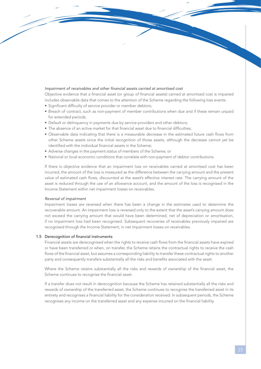### *Impairment of receivables and other financial assets carried at amortised cost*

Objective evidence that a financial asset (or group of financial assets) carried at amortised cost is impaired includes observable data that comes to the attention of the Scheme regarding the following loss events:

- Significant difficulty of service provider or member debtors;
- Breach of contract, such as non-payment of member contributions when due and if these remain unpaid for extended periods;
- Default or delinguency in payments due by service providers and other debtors;
- The absence of an active market for that financial asset due to financial difficulties:
- Observable data indicating that there is a measurable decrease in the estimated future cash flows from other Scheme assets since the initial recognition of those assets, although the decrease cannot yet be identified with the individual financial assets in the Scheme;
- Adverse changes in the payment status of members of the Scheme; or
- • National or local economic conditions that correlate with non-payment of debtor contributions.

If there is objective evidence that an impairment loss on receivables carried at amortised cost has been incurred, the amount of the loss is measured as the difference between the carrying amount and the present value of estimated cash flows, discounted at the asset's effective interest rate. The carrying amount of the asset is reduced through the use of an allowance account, and the amount of the loss is recognised in the Income Statement within net impairment losses on receivables.

### *Reversal of impairment*

Impairment losses are reversed when there has been a change in the estimates used to determine the recoverable amount. An impairment loss is reversed only to the extent that the asset's carrying amount does not exceed the carrying amount that would have been determined, net of depreciation or amortisation, if no impairment loss had been recognised. Subsequent recoveries of receivables previously impaired are recognised through the Income Statement, in net impairment losses on receivables.

### 1.5 Derecognition of financial instruments

Financial assets are derecognised when the rights to receive cash flows from the financial assets have expired or have been transferred or when, on transfer, the Scheme retains the contractual rights to receive the cash flows of the financial asset, but assumes a corresponding liability to transfer these contractual rights to another party and consequently transfers substantially all the risks and benefits associated with the asset.

Where the Scheme retains substantially all the risks and rewards of ownership of the financial asset, the Scheme continues to recognise the financial asset.

If a transfer does not result in derecognition because the Scheme has retained substantially all the risks and rewards of ownership of the transferred asset, the Scheme continues to recognise the transferred asset in its entirety and recognises a financial liability for the consideration received. In subsequent periods, the Scheme recognises any income on the transferred asset and any expense incurred on the financial liability.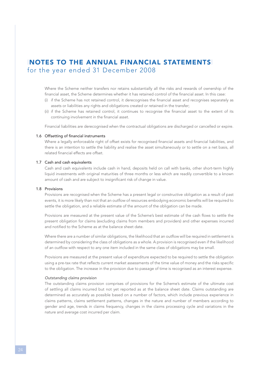Where the Scheme neither transfers nor retains substantially all the risks and rewards of ownership of the financial asset, the Scheme determines whether it has retained control of the financial asset. In this case:

- (i) if the Scheme has not retained control, it derecognises the financial asset and recognises separately as assets or liabilities any rights and obligations created or retained in the transfer;
- (ii) if the Scheme has retained control, it continues to recognise the financial asset to the extent of its continuing involvement in the financial asset.

Financial liabilities are derecognised when the contractual obligations are discharged or cancelled or expire.

#### 1.6 Offsetting of financial instruments

Where a legally enforceable right of offset exists for recognised financial assets and financial liabilities, and there is an intention to settle the liability and realise the asset simultaneously or to settle on a net basis, all related financial effects are offset.

#### 1.7 Cash and cash equivalents

Cash and cash equivalents include cash in hand, deposits held on call with banks, other short-term highly liquid investments with original maturities of three months or less which are readily convertible to a known amount of cash and are subject to insignificant risk of change in value.

### 1.8 Provisions

Provisions are recognised when the Scheme has a present legal or constructive obligation as a result of past events, it is more likely than not that an outflow of resources embodying economic benefits will be required to settle the obligation, and a reliable estimate of the amount of the obligation can be made.

Provisions are measured at the present value of the Scheme's best estimate of the cash flows to settle the present obligation for claims (excluding claims from members and providers) and other expenses incurred and notified to the Scheme as at the balance sheet date.

Where there are a number of similar obligations, the likelihood that an outflow will be required in settlement is determined by considering the class of obligations as a whole. A provision is recognised even if the likelihood of an outflow with respect to any one item included in the same class of obligations may be small.

Provisions are measured at the present value of expenditure expected to be required to settle the obligation using a pre-tax rate that reflects current market assessments of the time value of money and the risks specific to the obligation. The increase in the provision due to passage of time is recognised as an interest expense.

#### *Outstanding claims provision*

The outstanding claims provision comprises of provisions for the Scheme's estimate of the ultimate cost of settling all claims incurred but not yet reported as at the balance sheet date. Claims outstanding are determined as accurately as possible based on a number of factors, which include previous experience in claims patterns, claims settlement patterns, changes in the nature and number of members according to gender and age, trends in claims frequency, changes in the claims processing cycle and variations in the nature and average cost incurred per claim.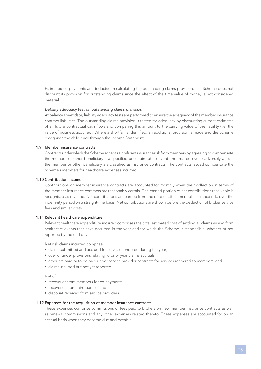Estimated co-payments are deducted in calculating the outstanding claims provision. The Scheme does not discount its provision for outstanding claims since the effect of the time value of money is not considered material.

#### *Liability adequacy test on outstanding claims provision*

At balance sheet date, liability adequacy tests are performed to ensure the adequacy of the member insurance contract liabilities. The outstanding claims provision is tested for adequacy by discounting current estimates of all future contractual cash flows and comparing this amount to the carrying value of the liability (i.e. the value of business acquired). Where a shortfall is identified, an additional provision is made and the Scheme recognises the deficiency through the Income Statement.

#### 1.9 Member insurance contracts

Contracts under which the Scheme accepts significant insurance risk from members by agreeing to compensate the member or other beneficiary if a specified uncertain future event (the insured event) adversely affects the member or other beneficiary are classified as insurance contracts. The contracts issued compensate the Scheme's members for healthcare expenses incurred.

#### 1.10 Contribution income

Contributions on member insurance contracts are accounted for monthly when their collection in terms of the member insurance contracts are reasonably certain. The earned portion of net contributions receivable is recognised as revenue. Net contributions are earned from the date of attachment of insurance risk, over the indemnity period on a straight-line basis. Net contributions are shown before the deduction of broker service fees and similar costs.

#### 1.11 Relevant healthcare expenditure

Relevant healthcare expenditure incurred comprises the total estimated cost of settling all claims arising from healthcare events that have occurred in the year and for which the Scheme is responsible, whether or not reported by the end of year.

Net risk claims incurred comprise:

- claims submitted and accrued for services rendered during the year;
- over or under provisions relating to prior year claims accruals;
- amounts paid or to be paid under service provider contracts for services rendered to members; and
- claims incurred but not yet reported.

Net of:

- recoveries from members for co-payments;
- recoveries from third parties; and
- discount received from service providers.

#### 1.12 Expenses for the acquisition of member insurance contracts

These expenses comprise commissions or fees paid to brokers on new member insurance contracts as well as renewal commissions and any other expenses related thereto. These expenses are accounted for on an accrual basis when they become due and payable.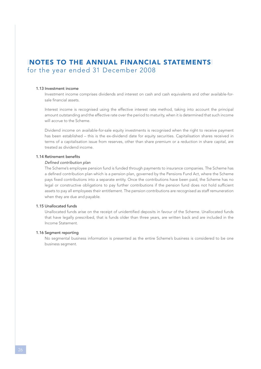#### 1.13 Investment income

Investment income comprises dividends and interest on cash and cash equivalents and other available-forsale financial assets.

Interest income is recognised using the effective interest rate method, taking into account the principal amount outstanding and the effective rate over the period to maturity, when it is determined that such income will accrue to the Scheme.

Dividend income on available-for-sale equity investments is recognised when the right to receive payment has been established – this is the ex-dividend date for equity securities. Capitalisation shares received in terms of a capitalisation issue from reserves, other than share premium or a reduction in share capital, are treated as dividend income.

#### 1.14 Retirement benefits

#### *Defined contribution plan*

The Scheme's employee pension fund is funded through payments to insurance companies. The Scheme has a defined contribution plan which is a pension plan, governed by the Pensions Fund Act, where the Scheme pays fixed contributions into a separate entity. Once the contributions have been paid, the Scheme has no legal or constructive obligations to pay further contributions if the pension fund does not hold sufficient assets to pay all employees their entitlement. The pension contributions are recognised as staff remuneration when they are due and payable.

#### 1.15 Unallocated funds

Unallocated funds arise on the receipt of unidentified deposits in favour of the Scheme. Unallocated funds that have legally prescribed, that is funds older than three years, are written back and are included in the Income Statement.

### 1.16 Segment reporting

No segmental business information is presented as the entire Scheme's business is considered to be one business segment.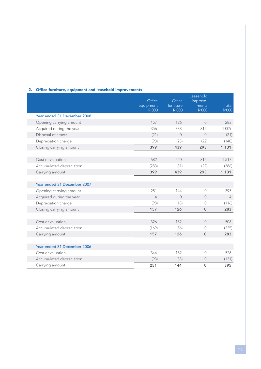|  |  |  |  |  |  | 2. Office furniture, equipment and leasehold improvements |
|--|--|--|--|--|--|-----------------------------------------------------------|
|--|--|--|--|--|--|-----------------------------------------------------------|

|                             | Office<br>equipment<br><b>R'000</b> | Office<br>furniture<br><b>R'000</b> | Leasehold<br>improve-<br>ments<br>R'000 | Total<br>R'000 |
|-----------------------------|-------------------------------------|-------------------------------------|-----------------------------------------|----------------|
| Year ended 31 December 2008 |                                     |                                     |                                         |                |
| Opening carrying amount     | 157                                 | 126                                 | $\overline{0}$                          | 283            |
| Acquired during the year    | 356                                 | 338                                 | 315                                     | 1 0 0 9        |
| Disposal of assets          | (21)                                | $\Omega$                            | $\Omega$                                | (21)           |
| Depreciation charge         | (93)                                | (25)                                | (22)                                    | (140)          |
| Closing carrying amount     | 399                                 | 439                                 | 293                                     | 1 1 3 1        |
|                             |                                     |                                     |                                         |                |
| Cost or valuation           | 682                                 | 520                                 | 315                                     | 1517           |
| Accumulated depreciation    | (283)                               | (81)                                | (22)                                    | (386)          |
| Carrying amount             | 399                                 | 439                                 | 293                                     | 1 1 3 1        |
|                             |                                     |                                     |                                         |                |
| Year ended 31 December 2007 |                                     |                                     |                                         |                |
| Opening carrying amount     | 251                                 | 144                                 | $\Omega$                                | 395            |
| Acquired during the year    | 4                                   | $\overline{0}$                      | $\overline{0}$                          | $\overline{4}$ |
| Depreciation charge         | (98)                                | (18)                                | $\overline{0}$                          | (116)          |
| Closing carrying amount     | 157                                 | 126                                 | $\pmb{0}$                               | 283            |
|                             |                                     |                                     |                                         |                |
| Cost or valuation           | 326                                 | 182                                 | $\Omega$                                | 508            |
| Accumulated depreciation    | (169)                               | (56)                                | $\circ$                                 | (225)          |
| Carrying amount             | 157                                 | 126                                 | $\mathbf 0$                             | 283            |
|                             |                                     |                                     |                                         |                |
| Year ended 31 December 2006 |                                     |                                     |                                         |                |
| Cost or valuation           | 344                                 | 182                                 | 0                                       | 526            |
| Accumulated depreciation    | (93)                                | (38)                                | $\overline{0}$                          | (131)          |
| Carrying amount             | 251                                 | 144                                 | $\mathbf 0$                             | 395            |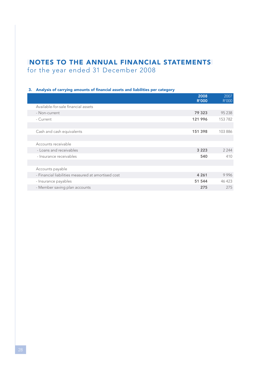# |NOTES TO THE ANNUAL FINANCIAL STATEMENTS|

for the year ended 31 December 2008

## 3. Analysis of carrying amounts of financial assets and liabilities per category

|                                                    | 2008<br><b>R'000</b> | 2007<br>R'000 |
|----------------------------------------------------|----------------------|---------------|
| Available-for-sale financial assets                |                      |               |
| - Non-current                                      | 79 323               | 95 238        |
| - Current                                          | 121 996              | 153782        |
|                                                    |                      |               |
| Cash and cash equivalents                          | 151 398              | 103 886       |
|                                                    |                      |               |
| Accounts receivable                                |                      |               |
| - Loans and receivables                            | 3 2 2 3              | 2 2 4 4       |
| - Insurance receivables                            | 540                  | 410           |
|                                                    |                      |               |
| Accounts payable                                   |                      |               |
| - Financial liabilities measured at amortised cost | 4 2 6 1              | 9996          |
| - Insurance payables                               | 51 544               | 46 4 23       |
| - Member saving plan accounts                      | 275                  | 275           |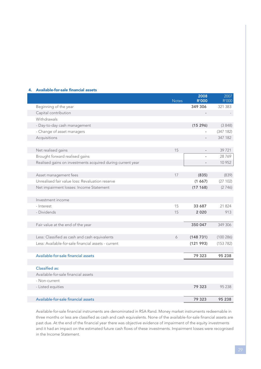|  | 4. | <b>Available-for-sale financial assets</b> |  |  |
|--|----|--------------------------------------------|--|--|
|--|----|--------------------------------------------|--|--|

|                                                            | <b>Notes</b> | 2008<br><b>R'000</b> | 2007<br>R'000 |
|------------------------------------------------------------|--------------|----------------------|---------------|
| Beginning of the year                                      |              | 349 306              | 321 383       |
| Capital contribution                                       |              |                      |               |
| Withdrawals                                                |              |                      |               |
| - Day-to-day cash management                               |              | (15296)              | (3848)        |
| - Change of asset managers                                 |              |                      | (347 182)     |
| Acquisitions                                               |              |                      | 347 182       |
|                                                            |              |                      |               |
| Net realised gains                                         | 15           | $\overline{a}$       | 39721         |
| Brought forward realised gains                             |              | $\overline{a}$       | 28769         |
| Realised gains on investments acquired during current year |              |                      | 10 952        |
|                                                            |              |                      |               |
| Asset management fees                                      | 17           | (835)                | (839)         |
| Unrealised fair value loss: Revaluation reserve            |              | (1667)               | (27102)       |
| Net impairment losses: Income Statement                    |              | (17168)              | (2746)        |
|                                                            |              |                      |               |
| Investment income                                          |              |                      |               |
| - Interest                                                 | 15           | 33 687               | 21 824        |
| - Dividends                                                | 15           | 2 0 2 0              | 913           |
|                                                            |              |                      |               |
| Fair value at the end of the year                          |              | 350 047              | 349 306       |
|                                                            |              |                      |               |
| Less: Classified as cash and cash equivalents              | 6            | (148731)             | (100 286)     |
| Less: Available-for-sale financial assets - current        |              | (121993)             | (153782)      |
|                                                            |              |                      |               |
| Available-for-sale financial assets                        |              | 79 323               | 95 238        |
|                                                            |              |                      |               |
| <b>Classified as:</b>                                      |              |                      |               |
| Available-for-sale financial assets                        |              |                      |               |
| - Non-current                                              |              |                      |               |
| - Listed equities                                          |              | 79 323               | 95 238        |
|                                                            |              |                      |               |
| Available-for-sale financial assets                        |              | 79 323               | 95 238        |

Available-for-sale financial instruments are denominated in RSA Rand. Money market instruments redeemable in three months or less are classified as cash and cash equivalents. None of the available-for-sale financial assets are past due. At the end of the financial year there was objective evidence of impairment of the equity investments and it had an impact on the estimated future cash flows of these investments. Impairment losses were recognised in the Income Statement.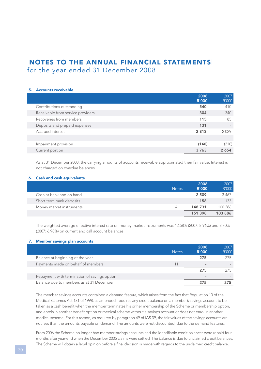# |NOTES TO THE ANNUAL FINANCIAL STATEMENTS|

for the year ended 31 December 2008

#### 5. Accounts receivable

| Contributions outstanding<br>540<br>410         |
|-------------------------------------------------|
|                                                 |
| Receivable from service providers<br>304<br>340 |
| Recoveries from members<br>85<br>115            |
| Deposits and prepaid expenses<br>131            |
| Accrued interest<br>2 8 1 3<br>2029             |
|                                                 |
| Impairment provision<br>(210)<br>(140)          |
| 2 6 5 4<br>Current portion<br>3763              |

As at 31 December 2008, the carrying amounts of accounts receivable approximated their fair value. Interest is not charged on overdue balances.

### 6. Cash and cash equivalents

|                          | <b>Notes</b> | 2008<br><b>R'000</b> | 2007<br>R'000 |
|--------------------------|--------------|----------------------|---------------|
| Cash at bank and on hand |              | 2 5 0 9              | 3467          |
| Short term bank deposits |              | 158                  | 133           |
| Money market instruments | 4            | 148 731              | 100 286       |
|                          |              | 151 398              | 103 886       |

The weighted average effective interest rate on money market instruments was 12.58% (2007: 8.96%) and 8.70% (2007: 6.98%) on current and call account balances.

### 7. Member savings plan accounts

|                                              | <b>Notes</b> | 2008<br><b>R'000</b>     | 2007<br>R'000 |
|----------------------------------------------|--------------|--------------------------|---------------|
| Balance at beginning of the year             |              | 275                      | 275           |
| Payments made on behalf of members           | 11           | $\overline{\phantom{a}}$ |               |
|                                              |              | 275                      | 275           |
| Repayment with termination of savings option |              | $\overline{\phantom{a}}$ |               |
| Balance due to members as at 31 December     |              | 275                      |               |

The member savings accounts contained a demand feature, which arises from the fact that Regulation 10 of the Medical Schemes Act 131 of 1998, as amended, requires any credit balance on a member's savings account to be taken as a cash benefit when the member terminates his or her membership of the Scheme or membership option, and enrols in another benefit option or medical scheme without a savings account or does not enrol in another medical scheme. For this reason, as required by paragraph 49 of IAS 39, the fair values of the savings accounts are not less than the amounts payable on demand. The amounts were not discounted, due to the demand features.

From 2006 the Scheme no longer had member savings accounts and the identifiable credit balances were repaid four months after year-end when the December 2005 claims were settled. The balance is due to unclaimed credit balances. The Scheme will obtain a legal opinion before a final decision is made with regards to the unclaimed credit balance.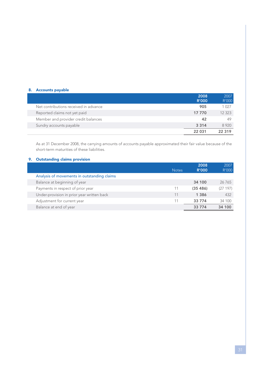## 8. Accounts payable

|                                       | 2008<br><b>R'000</b> | 2007<br>R'000 |
|---------------------------------------|----------------------|---------------|
| Net contributions received in advance | 905                  | 1 0 2 7       |
| Reported claims not yet paid          | 17 770               | 12 323        |
| Member and provider credit balances   | 42                   | 49            |
| Sundry accounts payable               | 3 3 1 4              | 8920          |
|                                       | 22 031               | 22319         |

As at 31 December 2008, the carrying amounts of accounts payable approximated their fair value because of the short-term maturities of these liabilities.

## 9. Outstanding claims provision

|                                             |              | 2008         | 2007     |
|---------------------------------------------|--------------|--------------|----------|
|                                             | <b>Notes</b> | <b>R'000</b> | R'000    |
| Analysis of movements in outstanding claims |              |              |          |
| Balance at beginning of year                |              | 34 100       | 26765    |
| Payments in respect of prior year           | 11           | (35, 486)    | (27 197) |
| Under-provision in prior year written back  | 11           | 1 3 8 6      | 432      |
| Adjustment for current year                 |              | 33 7 7 4     | 34 100   |
| Balance at end of year                      |              | 33 774       | 34 100   |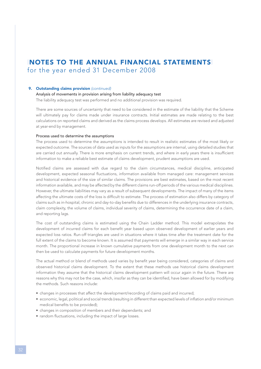### 9. Outstanding claims provision *(continued)*

### Analysis of movements in provision arising from liability adequacy test

The liability adequacy test was performed and no additional provision was required.

There are some sources of uncertainty that need to be considered in the estimate of the liability that the Scheme will ultimately pay for claims made under insurance contracts. Initial estimates are made relating to the best calculations on reported claims and derived as the claims process develops. All estimates are revised and adjusted at year-end by management.

#### Process used to determine the assumptions

The process used to determine the assumptions is intended to result in realistic estimates of the most likely or expected outcome. The sources of data used as inputs for the assumptions are internal, using detailed studies that are carried out annually. There is more emphasis on current trends, and where in early years there is insufficient information to make a reliable best estimate of claims development, prudent assumptions are used.

Notified claims are assessed with due regard to the claim circumstances, medical discipline, anticipated development, expected seasonal fluctuations, information available from managed care: management services and historical evidence of the size of similar claims. The provisions are best estimates, based on the most recent information available, and may be affected by the different claims run-off periods of the various medical disciplines. However, the ultimate liabilities may vary as a result of subsequent developments. The impact of many of the items affecting the ultimate costs of the loss is difficult to estimate. The process of estimation also differs by category of claims such as in-hospital, chronic and day-to-day benefits due to differences in the underlying insurance contracts, claim complexity, the volume of claims, individual severity of claims, determining the occurrence date of a claim, and reporting lags.

The cost of outstanding claims is estimated using the Chain Ladder method. This model extrapolates the development of incurred claims for each benefit year based upon observed development of earlier years and expected loss ratios. Run-off triangles are used in situations where it takes time after the treatment date for the full extent of the claims to become known. It is assumed that payments will emerge in a similar way in each service month. The proportional increase in known cumulative payments from one development month to the next can then be used to calculate payments for future development months.

The actual method or blend of methods used varies by benefit year being considered, categories of claims and observed historical claims development. To the extent that these methods use historical claims development information they assume that the historical claims development pattern will occur again in the future. There are reasons why this may not be the case, which, insofar as they can be identified, have been allowed for by modifying the methods. Such reasons include:

- • changes in processes that affect the development/recording of claims paid and incurred;
- • economic, legal, political and social trends (resulting in different than expected levels of inflation and/or minimum medical benefits to be provided);
- changes in composition of members and their dependants; and
- random fluctuations, including the impact of large losses.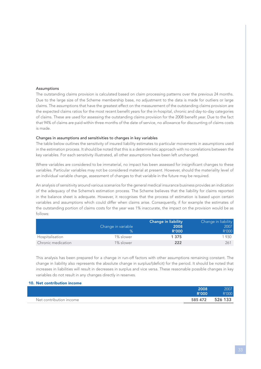#### Assumptions

The outstanding claims provision is calculated based on claim processing patterns over the previous 24 months. Due to the large size of the Scheme membership base, no adjustment to the data is made for outliers or large claims. The assumptions that have the greatest effect on the measurement of the outstanding claims provision are the expected claims ratios for the most recent benefit years for the in-hospital, chronic and day-to-day categories of claims. These are used for assessing the outstanding claims provision for the 2008 benefit year. Due to the fact that 94% of claims are paid within three months of the date of service, no allowance for discounting of claims costs is made.

#### Changes in assumptions and sensitivities to changes in key variables

The table below outlines the sensitivity of insured liability estimates to particular movements in assumptions used in the estimation process. It should be noted that this is a deterministic approach with no correlations between the key variables. For each sensitivity illustrated, all other assumptions have been left unchanged.

Where variables are considered to be immaterial, no impact has been assessed for insignificant changes to these variables. Particular variables may not be considered material at present. However, should the materiality level of an individual variable change, assessment of changes to that variable in the future may be required.

An analysis of sensitivity around various scenarios for the general medical insurance business provides an indication of the adequacy of the Scheme's estimation process. The Scheme believes that the liability for claims reported in the balance sheet is adequate. However, it recognises that the process of estimation is based upon certain variables and assumptions which could differ when claims arise. Consequently, if for example the estimates of the outstanding portion of claims costs for the year was 1% inaccurate, the impact on the provision would be as follows:

|                    |                    | <b>Change in liability</b> | Change in liability |
|--------------------|--------------------|----------------------------|---------------------|
|                    | Change in variable | 2008                       | 2007                |
|                    |                    | <b>R'000</b>               | R'000               |
| Hospitalisation    | 1% slower          | 1 3 7 5                    | 1 9.30              |
| Chronic medication | 1% slower          | 222                        | 261                 |

This analysis has been prepared for a change in run-off factors with other assumptions remaining constant. The change in liability also represents the absolute change in surplus/(deficit) for the period. It should be noted that increases in liabilities will result in decreases in surplus and vice versa. These reasonable possible changes in key variables do not result in any changes directly in reserves.

### 10. Net contribution income

|                         | 2008         | 2007    |
|-------------------------|--------------|---------|
|                         | <b>R'000</b> | R'000   |
| Net contribution income | 585 472      | 526 133 |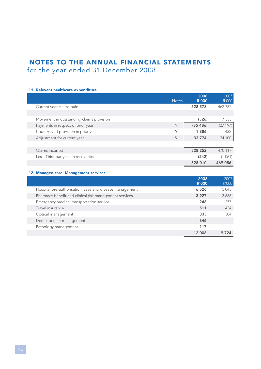# |NOTES TO THE ANNUAL FINANCIAL STATEMENTS|

for the year ended 31 December 2008

### 11. Relevant healthcare expenditure

|                                          | <b>Notes</b> | 2008<br><b>R'000</b> | 2007<br>R'000 |
|------------------------------------------|--------------|----------------------|---------------|
| Current year claims paid                 |              | 528 578              | 462782        |
|                                          |              |                      |               |
| Movement in outstanding claims provision |              | (326)                | 7 3 3 5       |
| Payments in respect of prior year        | 9            | (35 486)             | (27 197)      |
| Under/(over) provision in prior year     | 9            | 1 3 8 6              | 432           |
| Adjustment for current year              | 9            | 33 7 7 4             | 34 100        |
|                                          |              |                      |               |
| Claims incurred                          |              | 528 252              | 470 117       |
| Less: Third party claim recoveries       |              | (242)                | (1061)        |
|                                          |              | 528 010              | 469 056       |

## 12. Managed care: Management services

|                                                         | 2008<br><b>R'000</b> | 2007<br><b>R'000</b> |
|---------------------------------------------------------|----------------------|----------------------|
| Hospital pre-authorisation, case and disease management | 6 5 2 6              | 5043                 |
| Pharmacy benefit and clinical risk management services  | 3 9 2 7              | 3686                 |
| Emergency medical transportation service                | 248                  | 257                  |
| Travel insurance                                        | 511                  | 434                  |
| Optical management                                      | 333                  | 304                  |
| Dental benefit management                               | 346                  |                      |
| Pathology management                                    | 117                  |                      |
|                                                         | 12 008               |                      |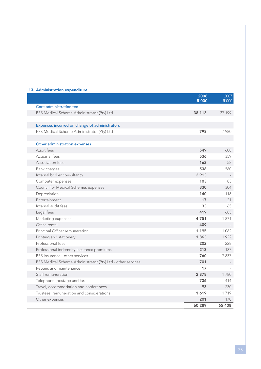## 13. Administration expenditure

|                                                             | 2008<br><b>R'000</b> | 2007<br>R'000 |
|-------------------------------------------------------------|----------------------|---------------|
| Core administration fee                                     |                      |               |
| PPS Medical Scheme Administrator (Pty) Ltd                  | 38 113               | 37 199        |
|                                                             |                      |               |
| Expenses incurred on change of administrators               |                      |               |
| PPS Medical Scheme Administrator (Pty) Ltd                  | 798                  | 7980          |
|                                                             |                      |               |
| Other administration expenses                               |                      |               |
| Audit fees                                                  | 549                  | 608           |
| Actuarial fees                                              | 536                  | 359           |
| Association fees                                            | 162                  | 58            |
| Bank charges                                                | 538                  | 560           |
| Internal broker consultancy                                 | 2913                 |               |
| Computer expenses                                           | 103                  | 83            |
| Council for Medical Schemes expenses                        | 330                  | 304           |
| Depreciation                                                | 140                  | 116           |
| Entertainment                                               | 17                   | 21            |
| Internal audit fees                                         | 33                   | 65            |
| Legal fees                                                  | 419                  | 685           |
| Marketing expenses                                          | 4 7 5 1              | 1871          |
| Office rental                                               | 409                  |               |
| Principal Officer remuneration                              | 1 1 9 5              | 1 0 6 2       |
| Printing and stationery                                     | 1863                 | 1922          |
| Professional fees                                           | 202                  | 228           |
| Professional indemnity insurance premiums                   | 213                  | 137           |
| PPS Insurance - other services                              | 760                  | 7837          |
| PPS Medical Scheme Administrator (Pty) Ltd - other services | 701                  |               |
| Repairs and maintenance                                     | 17                   |               |
| Staff remuneration                                          | 2878                 | 1780          |
| Telephone, postage and fax                                  | 736                  | 414           |
| Travel, accommodation and conferences                       | 93                   | 230           |
| Trustees' remuneration and considerations                   | 1619                 | 1719          |
| Other expenses                                              | 201                  | 170           |
|                                                             | 60 289               | 65 408        |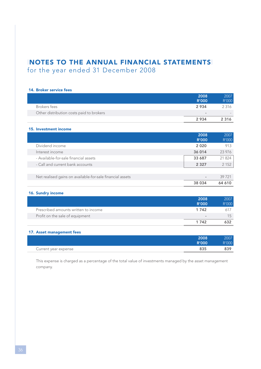# |NOTES TO THE ANNUAL FINANCIAL STATEMENTS|

for the year ended 31 December 2008

### 14. Broker service fees

|                                          | 2008<br><b>R'000</b> | 2007<br>R'000                   |
|------------------------------------------|----------------------|---------------------------------|
| <b>Brokers</b> fees                      | 2934                 | 2316                            |
| Other distribution costs paid to brokers | $\qquad \qquad$      | $\hspace{0.1mm}-\hspace{0.1mm}$ |
|                                          | 2934                 | 2 3 1 6                         |

### 15. Investment income

|                                                           | 2008<br><b>R'000</b> | 2007<br>R'000 |
|-----------------------------------------------------------|----------------------|---------------|
| Dividend income                                           | 2 0 2 0              | 913           |
| Interest income                                           | 36 014               | 23976         |
| - Available-for-sale financial assets                     | 33 687               | 21 824        |
| - Call and current bank accounts                          | 2 3 2 7              | 2 1 5 2       |
|                                                           |                      |               |
| Net realised gains on available-for-sale financial assets | $\qquad \qquad$      | 39 7 21       |
|                                                           | 38 034               | 64 610        |

### 16. Sundry income

|                                      | 2008<br><b>R'000</b>     | 2007<br>R'000 |
|--------------------------------------|--------------------------|---------------|
| Prescribed amounts written to income | 1 742                    |               |
| Profit on the sale of equipment      | $\overline{\phantom{a}}$ | 15            |
|                                      | 1 742                    |               |

#### 17. Asset management fees

|                      | 2008         | 2007  |
|----------------------|--------------|-------|
|                      | <b>R'000</b> | R'000 |
| Current year expense | 835          | 839   |

This expense is charged as a percentage of the total value of investments managed by the asset management company.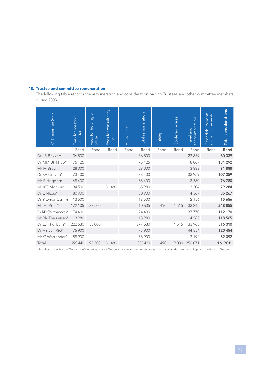### 18. Trustee and committee remuneration

The following table records the remuneration and consideration paid to Trustees and other committee members during 2008:

| December 2008<br>$\overline{\mathcal{E}}$ | meeting<br>attendance<br>for<br>Fees <sup>-</sup> | Fees for holding of<br>office | consultancy<br>Fees for<br>services | Allowances | Total remuneration | Training | Conference fees | accommodation<br>Travel and | Other disbursements<br>and reimbursements | Total considerations |
|-------------------------------------------|---------------------------------------------------|-------------------------------|-------------------------------------|------------|--------------------|----------|-----------------|-----------------------------|-------------------------------------------|----------------------|
|                                           | Rand                                              | Rand                          | Rand                                | Rand       | Rand               | Rand     | Rand            | Rand                        | Rand                                      | Rand                 |
| Dr JB Bekker*                             | 36 500                                            |                               |                                     |            | 36 500             |          |                 | 23 839                      |                                           | 60 339               |
| Dr MM Bhikhoo*                            | 175 425                                           |                               |                                     |            | 175 425            |          |                 | 8867                        |                                           | 184 292              |
| Mr M Brown                                | 28 000                                            |                               |                                     |            | 28 000             |          |                 | 3 8 8 8                     |                                           | 31888                |
| Dr SA Craven*                             | 73 400                                            |                               |                                     |            | 73 400             |          |                 | 33 959                      |                                           | 107 359              |
| Mr E Huggett*                             | 68 400                                            |                               |                                     |            | 68 400             |          |                 | 8 3 8 0                     |                                           | 76780                |
| Mr KG Mockler                             | 34 500                                            |                               | 31 480                              |            | 65 980             |          |                 | 13 304                      |                                           | 79 284               |
| Dr E Nkosi*                               | 80 900                                            |                               |                                     |            | 80 900             |          |                 | 4 3 6 7                     |                                           | 85 267               |
| Dr Y Omar Carrim                          | 13 500                                            |                               |                                     |            | 13 500             |          |                 | 2 1 5 6                     |                                           | 15 6 5 6             |
| Ms EL Prins*                              | 172 105                                           | 38 500                        |                                     |            | 210 605            | 490      | 4515            | 33 245                      |                                           | 248 855              |
| Dr RD Shuttleworth*                       | 74 400                                            |                               |                                     |            | 74 400             |          |                 | 37 770                      |                                           | 112 170              |
| Mr RN Theunissen*                         | 113 980                                           |                               |                                     |            | 113 980            |          |                 | 4585                        |                                           | 118 565              |
| Dr EJ Thorburn*                           | 222 530                                           | 55 000                        |                                     |            | 277 530            |          | 4515            | 33 965                      |                                           | 316010               |
| Dr HS van Riet*                           | 75 900                                            |                               |                                     |            | 75 900             |          |                 | 44 5 54                     |                                           | 120 454              |
| Mr G Warrender*                           | 58 900                                            |                               |                                     |            | 58 900             |          |                 | 3 1 9 2                     |                                           | 62 092               |
| Total                                     | 1 228 440                                         | 93 500                        | 31 480                              |            | 1 353 420          | 490      | 9030            | 256 071                     |                                           | 1619011              |

\* Members of the Board of Trustees in office during the year. Trustee appointment, election and resignation dates are disclosed in the Report of the Board of Trustees.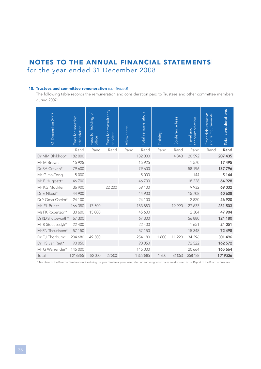### 18. Trustees and committee remuneration *(continued)*

The following table records the remuneration and consideration paid to Trustees and other committee members during 2007:

| December 2007<br>$\overline{\mathfrak{D}}$ | meeting<br>attendance<br>Fees for | Fees for holding of<br>office | consultancy<br>Fees for<br>services | Allowances | Total remuneration | Training | Conference fees | accommodation<br>Travel and | Other disbursements<br>and reimbursements | <b>Total considerations</b> |
|--------------------------------------------|-----------------------------------|-------------------------------|-------------------------------------|------------|--------------------|----------|-----------------|-----------------------------|-------------------------------------------|-----------------------------|
|                                            | Rand                              | Rand                          | Rand                                | Rand       | Rand               | Rand     | Rand            | Rand                        | Rand                                      | Rand                        |
| Dr MM Bhikhoo*                             | 182 000                           |                               |                                     |            | 182 000            |          | 4843            | 20 5 9 2                    |                                           | 207 435                     |
| Mr M Brown                                 | 15 9 25                           |                               |                                     |            | 15 9 25            |          |                 | 1570                        |                                           | 17 495                      |
| Dr SA Craven*                              | 79 600                            |                               |                                     |            | 79 600             |          |                 | 58 196                      |                                           | 137796                      |
| Ms G Ho-Tong                               | 5 0 0 0                           |                               |                                     |            | 5 0 0 0            |          |                 | 144                         |                                           | 5 1 4 4                     |
| Mr E Huggett*                              | 46700                             |                               |                                     |            | 46700              |          |                 | 18 2 28                     |                                           | 64 928                      |
| Mr KG Mockler                              | 36 900                            |                               | 22 200                              |            | 59 100             |          |                 | 9932                        |                                           | 69 032                      |
| Dr E Nkosi*                                | 44 900                            |                               |                                     |            | 44 900             |          |                 | 15708                       |                                           | 60 608                      |
| Dr Y Omar Carrim*                          | 24 100                            |                               |                                     |            | 24 100             |          |                 | 2 8 2 0                     |                                           | 26 9 20                     |
| Ms EL Prins*                               | 166 380                           | 17 500                        |                                     |            | 183 880            |          | 19 990          | 27 633                      |                                           | 231 503                     |
| Ms FK Robertson*                           | 30 600                            | 15 000                        |                                     |            | 45 600             |          |                 | 2 3 0 4                     |                                           | 47 904                      |
| Dr RD Shuttleworth*                        | 67 300                            |                               |                                     |            | 67 300             |          |                 | 56 880                      |                                           | 124 180                     |
| Mr R Stoutjesdyk*                          | 22 400                            |                               |                                     |            | 22 400             |          |                 | 1651                        |                                           | 24 051                      |
| Mr RN Theunissen*                          | 57 150                            |                               |                                     |            | 57 150             |          |                 | 15 348                      |                                           | 72 498                      |
| Dr EJ Thorburn*                            | 204 680                           | 49 500                        |                                     |            | 254 180            | 1800     | 11 2 20         | 34 296                      |                                           | 301 496                     |
| Dr HS van Riet*                            | 90 050                            |                               |                                     |            | 90 050             |          |                 | 72 522                      |                                           | 162 572                     |
| Mr G Warrender*                            | 145 000                           |                               |                                     |            | 145 000            |          |                 | 20 664                      |                                           | 165 664                     |
| Total                                      | 1 218 685                         | 82000                         | 22 200                              |            | 1 322 885          | 1800     | 36053           | 358 488                     |                                           | 1719226                     |

\* Members of the Board of Trustees in office during the year. Trustee appointment, election and resignation dates are disclosed in the Report of the Board of Trustees.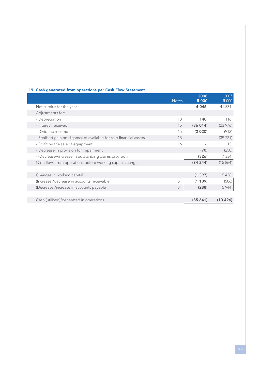|  |  |  |  | 19. Cash generated from operations per Cash Flow Statement |  |  |  |  |
|--|--|--|--|------------------------------------------------------------|--|--|--|--|
|--|--|--|--|------------------------------------------------------------|--|--|--|--|

|                                                                    | <b>Notes</b> | 2008<br><b>R'000</b> | 2007<br>R'000 |
|--------------------------------------------------------------------|--------------|----------------------|---------------|
| Net surplus for the year                                           |              | 4 0 4 6              | 41 531        |
| Adjustments for:                                                   |              |                      |               |
| - Depreciation                                                     | 13           | 140                  | 116           |
| - Interest received                                                | 15           | (36014)              | (23976)       |
| - Dividend income                                                  | 15           | (2020)               | (913)         |
| - Realised gain on disposal of available-for-sale financial assets | 15           |                      | (39721)       |
| - Profit on the sale of equipment                                  | 16           | $\blacksquare$       | 15            |
| - Decrease in provision for impairment                             |              | (70)                 | (250)         |
| - (Decrease)/increase in outstanding claims provision              |              | (326)                | 7 3 3 4       |
| Cash flows from operations before working capital changes          |              | (34 244)             | (15864)       |
|                                                                    |              |                      |               |
| Changes in working capital                                         |              | (1397)               | 5438          |
| (Increase)/decrease in accounts receivable                         | 5            | (1109)               | (506)         |
| (Decrease)/increase in accounts payable                            | 8            | (288)                | 5944          |
|                                                                    |              |                      |               |
| Cash (utilised)/generated in operations                            |              | (35641)              | (10 426)      |
|                                                                    |              |                      |               |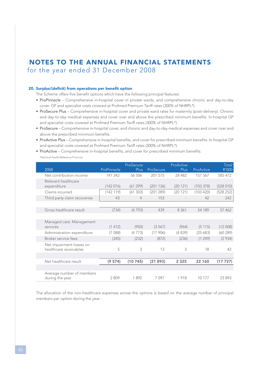# |NOTES TO THE ANNUAL FINANCIAL STATEMENTS|

for the year ended 31 December 2008

### 20. Surplus/(deficit) from operations per benefit option

The Scheme offers five benefit options which have the following principal features:

- ProPinnacle Comprehensive in-hospital cover in private wards, and comprehensive chronic and day-to-day cover. GP and specialist costs covered at Profmed Premium Tariff rates (300% of NHRPL\*).
- ProSecure Plus Comprehensive in-hospital cover and private ward rates for maternity (post-delivery). Chronic and day-to-day medical expenses and cover over and above the prescribed minimum benefits. In-hospital GP and specialist costs covered at Profmed Premium Tariff rates (300% of NHRPL\*).
- • ProSecure Comprehensive in-hospital cover, and chronic and day-to-day medical expenses and cover over and above the prescribed minimum benefits.
- • ProActive Plus Comprehensive in-hospital benefits, and cover for prescribed minimum benefits. In-hospital GP and specialist costs covered at Profmed Premium Tariff rates (300% of NHRPL\*).

• ProActive – Comprehensive in-hospital benefits, and cover for prescribed minimum benefits. \*National Health Reference Price List

|                                                    |             | ProSecure |            | ProActive |           | Total     |
|----------------------------------------------------|-------------|-----------|------------|-----------|-----------|-----------|
| 2008                                               | ProPinnacle | Plus      | ProSecure  | Plus      | ProActive | R'000     |
| Net contribution income                            | 141 342     | 56 506    | 201 575    | 28 4 8 2  | 157 567   | 585 472   |
| Relevant healthcare<br>expenditure                 | (142076)    | (61 299)  | (201136)   | (20 121)  | (103378)  | (528010)  |
| Claims incurred                                    | (142119)    | (61303)   | (201 289)  | (20121)   | (103 420) | (528 252) |
| Third party claim recoveries                       | 43          | 4         | 153        |           | 42        | 242       |
|                                                    |             |           |            |           |           |           |
| Gross healthcare result                            | (734)       | (4793)    | 439        | 8 3 6 1   | 54 189    | 57 4 62   |
|                                                    |             |           |            |           |           |           |
| Managed care: Management<br>services               | (1412)      | (950)     | $(3\,567)$ | (964)     | (5115)    | (12008)   |
| Administration expenditure                         | (7088)      | (4773)    | (17906)    | (4839)    | (25683)   | (60289)   |
| Broker service fees                                | (345)       | (232)     | (872)      | (236)     | (1249)    | (2934)    |
| Net impairment losses on<br>healthcare receivables | 5           | 3         | 13         | 3         | 18        | 42        |
|                                                    |             |           |            |           |           |           |
| Net healthcare result                              | $(9\;574)$  | (10745)   | (21893)    | 2 3 2 5   | 22 160    | (17727)   |
|                                                    |             |           |            |           |           |           |
| Average number of members<br>during the year       | 2809        | 1892      | 7097       | 1918      | 10 177    | 23893     |

The allocation of the non-healthcare expenses across the options is based on the average number of principal members per option during the year.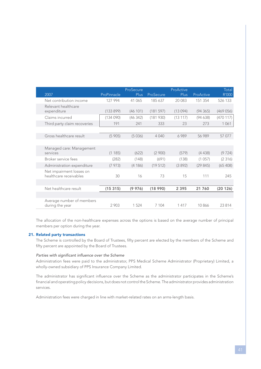| 2007                                               | ProPinnacle | ProSecure<br>Plus | ProSecure | ProActive<br>Plus | ProActive   | Total<br>R'000 |
|----------------------------------------------------|-------------|-------------------|-----------|-------------------|-------------|----------------|
| Net contribution income                            | 127 994     | 41 065            | 185 637   | 20 083            | 151 354     | 526 133        |
| Relevant healthcare<br>expenditure                 | (133 899)   | (46101)           | (181597)  | (13094)           | $(94\,365)$ | (469 056)      |
| Claims incurred                                    | (134090)    | (46342)           | (181930)  | (13117)           | (94638)     | (470117)       |
| Third party claim recoveries                       | 191         | 241               | 333       | 23                | 273         | 1 0 6 1        |
|                                                    |             |                   |           |                   |             |                |
| Gross healthcare result                            | (5905)      | (5036)            | 4 0 4 0   | 6989              | 56 989      | 57 077         |
|                                                    |             |                   |           |                   |             |                |
| Managed care: Management<br>services               | (1185)      | (622)             | (2900)    | (579)             | (4438)      | (9724)         |
| Broker service fees                                | (282)       | (148)             | (691)     | (138)             | (1057)      | (2316)         |
| Administration expenditure                         | (7973)      | (4186)            | (19512)   | (3892)            | (29845)     | (65408)        |
| Net impairment losses on<br>healthcare receivables | 30          | 16                | 73        | 15                | 111         | 245            |
|                                                    |             |                   |           |                   |             |                |
| Net healthcare result                              | (15315)     | (9976)            | (18990)   | 2 3 9 5           | 21 760      | (20126)        |
|                                                    |             |                   |           |                   |             |                |
| Average number of members<br>during the year       | 2 9 0 3     | 1 5 2 4           | 7 1 0 4   | 1417              | 10866       | 23814          |

The allocation of the non-healthcare expenses across the options is based on the average number of principal members per option during the year.

### 21. Related party transactions

The Scheme is controlled by the Board of Trustees, fifty percent are elected by the members of the Scheme and fifty percent are appointed by the Board of Trustees.

#### *Parties with significant influence over the Scheme*

Administration fees were paid to the administrator, PPS Medical Scheme Administrator (Proprietary) Limited, a wholly-owned subsidiary of PPS Insurance Company Limited.

The administrator has significant influence over the Scheme as the administrator participates in the Scheme's financial and operating policy decisions, but does not control the Scheme. The administrator provides administration services.

Administration fees were charged in line with market-related rates on an arms-length basis.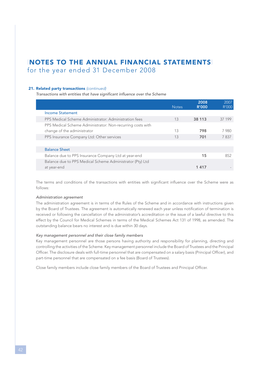#### 21. Related party transactions *(continued)*

*Transactions with entities that have significant influence over the Scheme*

|                                                            | <b>Notes</b> | 2008<br><b>R'000</b> | 2007<br>R'000 |
|------------------------------------------------------------|--------------|----------------------|---------------|
| <b>Income Statement</b>                                    |              |                      |               |
| PPS Medical Scheme Administrator: Administration fees      | 13           | 38 113               | 37 199        |
| PPS Medical Scheme Administrator: Non-recurring costs with |              |                      |               |
| change of the administrator                                | 13           | 798                  | 7980          |
| PPS Insurance Company Ltd: Other services                  | 13           | 701                  | 7837          |
|                                                            |              |                      |               |
| <b>Balance Sheet</b>                                       |              |                      |               |
| Balance due to PPS Insurance Company Ltd at year-end       |              | 15                   | 852           |
| Balance due to PPS Medical Scheme Administrator (Pty) Ltd  |              |                      |               |
| at year-end                                                |              | 1 417                |               |
|                                                            |              |                      |               |

The terms and conditions of the transactions with entities with significant influence over the Scheme were as follows:

#### *Administration agreement*

The administration agreement is in terms of the Rules of the Scheme and in accordance with instructions given by the Board of Trustees. The agreement is automatically renewed each year unless notification of termination is received or following the cancellation of the administrator's accreditation or the issue of a lawful directive to this effect by the Council for Medical Schemes in terms of the Medical Schemes Act 131 of 1998, as amended. The outstanding balance bears no interest and is due within 30 days.

#### *Key management personnel and their close family members*

Key management personnel are those persons having authority and responsibility for planning, directing and controlling the activities of the Scheme. Key management personnel include the Board of Trustees and the Principal Officer. The disclosure deals with full-time personnel that are compensated on a salary basis (Principal Officer), and part-time personnel that are compensated on a fee basis (Board of Trustees).

Close family members include close family members of the Board of Trustees and Principal Officer.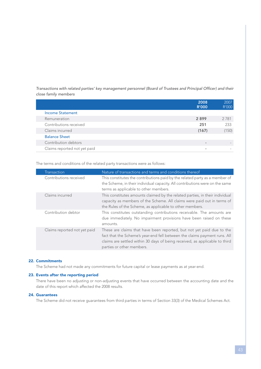*Transactions with related parties' key management personnel (Board of Trustees and Principal Officer) and their close family members*

|                              | 2008<br><b>R'000</b>     | 2007<br>R'000 |
|------------------------------|--------------------------|---------------|
| <b>Income Statement</b>      |                          |               |
| Remuneration                 | 2899                     | 2781          |
| Contributions received       | 251                      | 233           |
| Claims incurred              | (167)                    | (150)         |
| <b>Balance Sheet</b>         |                          |               |
| Contribution debtors         | ٠                        |               |
| Claims reported not yet paid | $\overline{\phantom{a}}$ |               |

The terms and conditions of the related party transactions were as follows:

| Transaction                  | Nature of transactions and terms and conditions thereof                                                                                                                                                                                                        |
|------------------------------|----------------------------------------------------------------------------------------------------------------------------------------------------------------------------------------------------------------------------------------------------------------|
| Contributions received       | This constitutes the contributions paid by the related party as a member of<br>the Scheme, in their individual capacity. All contributions were on the same<br>terms as applicable to other members.                                                           |
| Claims incurred              | This constitutes amounts claimed by the related parties, in their individual<br>capacity as members of the Scheme. All claims were paid out in terms of<br>the Rules of the Scheme, as applicable to other members.                                            |
| Contribution debtor          | This constitutes outstanding contributions receivable. The amounts are<br>due immediately. No impairment provisions have been raised on these<br>amounts.                                                                                                      |
| Claims reported not yet paid | These are claims that have been reported, but not yet paid due to the<br>fact that the Scheme's year-end fell between the claims payment runs. All<br>claims are settled within 30 days of being received, as applicable to third<br>parties or other members. |

#### 22. Commitments

The Scheme had not made any commitments for future capital or lease payments as at year-end.

### 23. Events after the reporting period

There have been no adjusting or non-adjusting events that have occurred between the accounting date and the date of this report which affected the 2008 results.

### 24. Guarantees

The Scheme did not receive guarantees from third parties in terms of Section 33(3) of the Medical Schemes Act.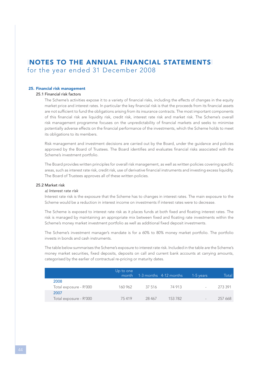#### 25. Financial risk management

### 25.1 Financial risk factors

The Scheme's activities expose it to a variety of financial risks, including the effects of changes in the equity market price and interest rates. In particular the key financial risk is that the proceeds from its financial assets are not sufficient to fund the obligations arising from its insurance contracts. The most important components of this financial risk are liquidity risk, credit risk, interest rate risk and market risk. The Scheme's overall risk management programme focuses on the unpredictability of financial markets and seeks to minimise potentially adverse effects on the financial performance of the investments, which the Scheme holds to meet its obligations to its members.

Risk management and investment decisions are carried out by the Board, under the guidance and policies approved by the Board of Trustees. The Board identifies and evaluates financial risks associated with the Scheme's investment portfolio.

The Board provides written principles for overall risk management, as well as written policies covering specific areas, such as interest rate risk, credit risk, use of derivative financial instruments and investing excess liquidity. The Board of Trustees approves all of these written policies.

#### 25.2 Market risk

#### *a) Interest rate risk*

Interest rate risk is the exposure that the Scheme has to changes in interest rates. The main exposure to the Scheme would be a reduction in interest income on investments if interest rates were to decrease.

The Scheme is exposed to interest rate risk as it places funds at both fixed and floating interest rates. The risk is managed by maintaining an appropriate mix between fixed and floating rate investments within the Scheme's money market investment portfolio as well as additional fixed deposit investments.

The Scheme's investment manager's mandate is for a 60% to 80% money market portfolio. The portfolio invests in bonds and cash instruments.

The table below summarises the Scheme's exposure to interest rate risk. Included in the table are the Scheme's money market securities, fixed deposits, deposits on call and current bank accounts at carrying amounts, categorised by the earlier of contractual re-pricing or maturity dates.

|                        | Up to one<br>month |        | 1-3 months 4-12 months | 1-5 years | Total   |
|------------------------|--------------------|--------|------------------------|-----------|---------|
| 2008                   |                    |        |                        |           |         |
| Total exposure - R'000 | 160 962            | 37 516 | 74 913                 |           | 273391  |
| 2007                   |                    |        |                        |           |         |
| Total exposure - R'000 | 75419              | 28 467 | 153782                 |           | 257 668 |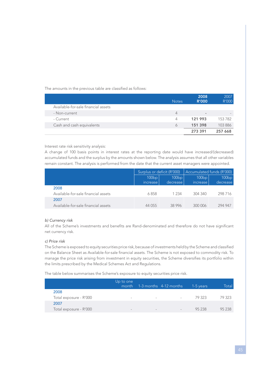The amounts in the previous table are classified as follows:

|                                     | <b>Notes</b> | 2008<br><b>R'000</b>     | 2007<br>R'000 |
|-------------------------------------|--------------|--------------------------|---------------|
| Available-for-sale financial assets |              |                          |               |
| - Non-current                       | 4            | $\overline{\phantom{a}}$ |               |
| - Current                           | 4            | 121 993                  | 153782        |
| Cash and cash equivalents           | 6            | 151 398                  | 103 886       |
|                                     |              | 273 391                  | 257 668       |

#### Interest rate risk sensitivity analysis:

A change of 100 basis points in interest rates at the reporting date would have increased/(decreased) accumulated funds and the surplus by the amounts shown below. The analysis assumes that all other variables remain constant. The analysis is performed from the date that the current asset managers were appointed.

|                                             | Surplus or deficit (R'000) |                   | Accumulated funds (R'000) |                   |
|---------------------------------------------|----------------------------|-------------------|---------------------------|-------------------|
|                                             | 100bp<br>increase          | 100bp<br>decrease | 100bp<br>increase,        | 100bp<br>decrease |
| 2008                                        |                            |                   |                           |                   |
| Available-for-sale financial assets         | 6858                       | 1 2 3 4           | 304 340                   | 298 716           |
| 2007<br>Available-for-sale financial assets | 44 055                     | 38996             | 300,006                   | 294 947           |

### *b) Currency risk*

All of the Scheme's investments and benefits are Rand-denominated and therefore do not have significant net currency risk.

### *c) Price risk*

The Scheme is exposed to equity securities price risk, because of investments held by the Scheme and classified on the Balance Sheet as Available-for-sale financial assets. The Scheme is not exposed to commodity risk. To manage the price risk arising from investment in equity securities, the Scheme diversifies its portfolio within the limits prescribed by the Medical Schemes Act and Regulations.

The table below summarises the Scheme's exposure to equity securities price risk.

|                        | Up to one                       |                   | month 1-3 months 4-12 months | $1-5$ years | Total  |
|------------------------|---------------------------------|-------------------|------------------------------|-------------|--------|
| 2008                   |                                 |                   |                              |             |        |
| Total exposure - R'000 | $\hspace{0.1mm}$                | $\qquad \qquad =$ | $\sim$                       | 79.323      | 79.323 |
| 2007                   |                                 |                   |                              |             |        |
| Total exposure - R'000 | $\hspace{0.1mm}-\hspace{0.1mm}$ | $\qquad \qquad -$ | $\overline{\phantom{a}}$     | 95 238      | 95 238 |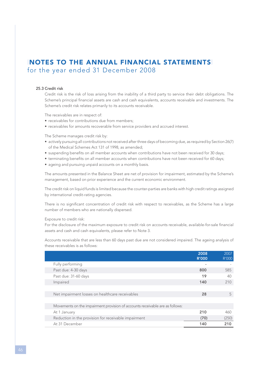#### 25.3 Credit risk

Credit risk is the risk of loss arising from the inability of a third party to service their debt obligations. The Scheme's principal financial assets are cash and cash equivalents, accounts receivable and investments. The Scheme's credit risk relates primarily to its accounts receivable.

The receivables are in respect of:

- receivables for contributions due from members:
- receivables for amounts recoverable from service providers and accrued interest.

The Scheme manages credit risk by:

- actively pursuing all contributions not received after three days of becoming due, as required by Section 26(7) of the Medical Schemes Act 131 of 1998, as amended;
- suspending benefits on all member accounts when contributions have not been received for 30 days;
- terminating benefits on all member accounts when contributions have not been received for 60 days;
- ageing and pursuing unpaid accounts on a monthly basis.

The amounts presented in the Balance Sheet are net of provision for impairment, estimated by the Scheme's management, based on prior experience and the current economic environment.

The credit risk on liquid funds is limited because the counter-parties are banks with high credit ratings assigned by international credit-rating agencies.

There is no significant concentration of credit risk with respect to receivables, as the Scheme has a large number of members who are nationally dispersed.

#### Exposure to credit risk:

For the disclosure of the maximum exposure to credit risk on accounts receivable, available-for-sale financial assets and cash and cash equivalents, please refer to Note 3.

Accounts receivable that are less than 60 days past due are not considered impaired. The ageing analysis of these receivables is as follows:

|                                                                              | 2008<br><b>R'000</b> | 2007<br>R'000 |
|------------------------------------------------------------------------------|----------------------|---------------|
| Fully performing                                                             |                      |               |
| Past due: 4-30 days                                                          | 800                  | 585           |
| Past due: 31-60 days                                                         | 19                   | 40            |
| Impaired                                                                     | 140                  | 210           |
|                                                                              |                      |               |
| Net impairment losses on healthcare receivables                              | 28                   | 5             |
|                                                                              |                      |               |
| Movements on the impairment provision of accounts receivable are as follows: |                      |               |
| At 1 January                                                                 | 210                  | 460           |
| Reduction in the provision for receivable impairment                         | (70)                 | (250)         |
| At 31 December                                                               | 140                  | 210           |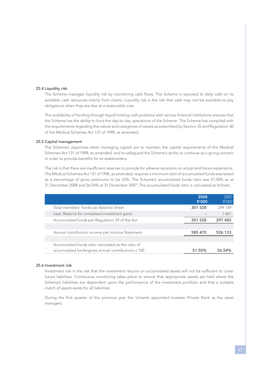#### 25.4 Liquidity risk

The Scheme manages liquidity risk by monitoring cash flows. The Scheme is exposed to daily calls on its available cash resources mainly from claims. Liquidity risk is the risk that cash may not be available to pay obligations when they are due at a reasonable cost.

The availability of funding through liquid holding cash positions with various financial institutions ensures that the Scheme has the ability to fund the day-to-day operations of the Scheme. The Scheme has complied with the requirements regarding the nature and categories of assets as prescribed by Section 35 and Regulation 30 of the Medical Schemes Act 131 of 1998, as amended.

#### 25.5 Capital management

The Scheme's objectives when managing capital are to maintain the capital requirements of the Medical Schemes Act 131 of 1998, as amended, and to safeguard the Scheme's ability to continue as a going concern in order to provide benefits for its stakeholders.

The risk is that there are insufficient reserves to provide for adverse variations on actual and future experience. The Medical Schemes Act 131 of 1998, as amended, requires a minimum ratio of accumulated funds expressed as a percentage of gross premiums to be 25%. The Scheme's accumulated funds ratio was 51.50% as at 31 December 2008 and 56.54% at 31 December 2007. The accumulated funds ratio is calculated as follows:

|                                                    | 2008<br><b>R'000</b> | 2007<br>R'000 |
|----------------------------------------------------|----------------------|---------------|
| Total members' funds per Balance Sheet             | 301 528              | 299 149       |
| Less: Reserve for unrealised investment gains      |                      | 1667          |
| Accumulated funds per Regulation 29 of the Act     | 301 528              | 297 482       |
|                                                    |                      |               |
| Annual contribution income per Income Statement    | 585 472              | 526 133       |
|                                                    |                      |               |
| Accumulated funds ratio calculated as the ratio of |                      |               |
| accumulated funds/gross annual contributions x 100 | 51.50%               | 56.54%        |

#### 25.6 Investment risk

Investment risk is the risk that the investment returns on accumulated assets will not be sufficient to cover future liabilities. Continuous monitoring takes place to ensure that appropriate assets are held where the Scheme's liabilities are dependent upon the performance of the investment portfolio and that a suitable match of assets exists for all liabilities.

During the first quarter of the previous year the Scheme appointed Investec Private Bank as the asset managers.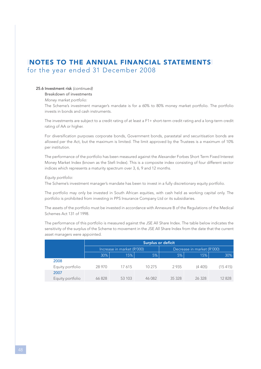#### 25.6 Investment risk *(continued)*

#### Breakdown of investments

*Money market portfolio:*

The Scheme's investment manager's mandate is for a 60% to 80% money market portfolio. The portfolio invests in bonds and cash instruments.

The investments are subject to a credit rating of at least a F1+ short-term credit rating and a long-term credit rating of AA or higher.

For diversification purposes corporate bonds, Government bonds, parastatal and securitisation bonds are allowed per the Act, but the maximum is limited. The limit approved by the Trustees is a maximum of 10% per institution.

The performance of the portfolio has been measured against the Alexander Forbes Short Term Fixed Interest Money Market Index (known as the Stefi Index). This is a composite index consisting of four different sector indices which represents a maturity spectrum over 3, 6, 9 and 12 months.

#### *Equity portfolio:*

The Scheme's investment manager's mandate has been to invest in a fully discretionary equity portfolio.

The portfolio may only be invested in South African equities, with cash held as working capital only. The portfolio is prohibited from investing in PPS Insurance Company Ltd or its subsidiaries.

The assets of the portfolio must be invested in accordance with Annexure B of the Regulations of the Medical Schemes Act 131 of 1998.

The performance of this portfolio is measured against the JSE All Share Index. The table below indicates the sensitivity of the surplus of the Scheme to movement in the JSE All Share Index from the date that the current asset managers were appointed.

|                  | <b>Surplus or deficit</b>  |        |        |                            |        |         |
|------------------|----------------------------|--------|--------|----------------------------|--------|---------|
|                  | Increase in market (R'000) |        |        | Decrease in market (R'000) |        |         |
|                  | 30%                        | 15%    | 5%     | 5%                         | 15%    | 30%     |
| 2008             |                            |        |        |                            |        |         |
| Equity portfolio | 28 970                     | 17615  | 10 275 | 2935                       | (4405) | (15415) |
| 2007             |                            |        |        |                            |        |         |
| Equity portfolio | 66828                      | 53 103 | 46 082 | 35 328                     | 26.328 | 12828   |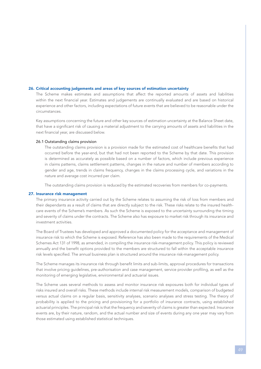#### 26. Critical accounting judgements and areas of key sources of estimation uncertainty

The Scheme makes estimates and assumptions that affect the reported amounts of assets and liabilities within the next financial year. Estimates and judgements are continually evaluated and are based on historical experience and other factors, including expectations of future events that are believed to be reasonable under the circumstances.

Key assumptions concerning the future and other key sources of estimation uncertainty at the Balance Sheet date, that have a significant risk of causing a material adjustment to the carrying amounts of assets and liabilities in the next financial year, are discussed below.

#### 26.1 Outstanding claims provision

The outstanding claims provision is a provision made for the estimated cost of healthcare benefits that had occurred before the year-end, but that had not been reported to the Scheme by that date. This provision is determined as accurately as possible based on a number of factors, which include previous experience in claims patterns, claims settlement patterns, changes in the nature and number of members according to gender and age, trends in claims frequency, changes in the claims processing cycle, and variations in the nature and average cost incurred per claim.

The outstanding claims provision is reduced by the estimated recoveries from members for co-payments.

#### 27. Insurance risk management

The primary insurance activity carried out by the Scheme relates to assuming the risk of loss from members and their dependants as a result of claims that are directly subject to the risk. These risks relate to the insured healthcare events of the Scheme's members. As such the Scheme is exposed to the uncertainty surrounding the timing and severity of claims under the contracts. The Scheme also has exposure to market risk through its insurance and investment activities.

The Board of Trustees has developed and approved a documented policy for the acceptance and management of insurance risk to which the Scheme is exposed. Reference has also been made to the requirements of the Medical Schemes Act 131 of 1998, as amended, in compiling the insurance risk-management policy. This policy is reviewed annually and the benefit options provided to the members are structured to fall within the acceptable insurance risk levels specified. The annual business plan is structured around the insurance risk-management policy.

The Scheme manages its insurance risk through benefit limits and sub-limits, approval procedures for transactions that involve pricing guidelines, pre-authorisation and case management, service provider profiling, as well as the monitoring of emerging legislative, environmental and actuarial issues.

The Scheme uses several methods to assess and monitor insurance risk exposures both for individual types of risks insured and overall risks. These methods include internal risk measurement models, comparison of budgeted versus actual claims on a regular basis, sensitivity analyses, scenario analyses and stress testing. The theory of probability is applied to the pricing and provisioning for a portfolio of insurance contracts, using established actuarial principles. The principal risk is that the frequency and severity of claims is greater than expected. Insurance events are, by their nature, random, and the actual number and size of events during any one year may vary from those estimated using established statistical techniques.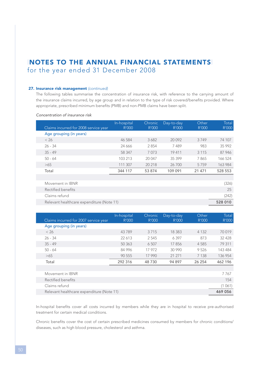#### 27. Insurance risk management *(continued)*

The following tables summarise the concentration of insurance risk, with reference to the carrying amount of the insurance claims incurred, by age group and in relation to the type of risk covered/benefits provided. Where appropriate, prescribed minimum benefits (PMB) and non-PMB claims have been split.

| Claims incurred for 2008 service year     | In-hospital<br>R'000 | Chronic<br>R'000 | Day-to-day<br>R'000 | Other<br>R'000 | Total<br>R'000 |
|-------------------------------------------|----------------------|------------------|---------------------|----------------|----------------|
| Age grouping (in years)                   |                      |                  |                     |                |                |
| < 26                                      | 46 584               | 3682             | 20 0 9 2            | 3749           | 74 107         |
| $26 - 34$                                 | 24 666               | 2854             | 7489                | 983            | 35 9 9 2       |
| $35 - 49$                                 | 58 347               | 7073             | 19411               | 3 1 1 5        | 87 946         |
| $50 - 64$                                 | 103 213              | 20 047           | 35 399              | 7865           | 166 524        |
| >65                                       | 111 307              | 20 218           | 26 700              | 5759           | 163 984        |
| Total                                     | 344 117              | 53 874           | 109 091             | 21 471         | 528 553        |
|                                           |                      |                  |                     |                |                |
| Movement in IBNR                          |                      |                  |                     |                | (326)          |
| Rectified benefits                        |                      |                  |                     |                | 25             |
| Claims refund                             |                      |                  |                     |                | (242)          |
| Relevant healthcare expenditure (Note 11) |                      |                  |                     |                | 528 010        |

#### *Concentration of insurance risk*

| Claims incurred for 2007 service year     | In-hospital<br>R'000 | Chronic<br>R'000 | Day-to-day<br>R'000 | Other<br>R'000 | Total<br>R'000 |
|-------------------------------------------|----------------------|------------------|---------------------|----------------|----------------|
| Age grouping (in years)                   |                      |                  |                     |                |                |
| < 26                                      | 43789                | 3715             | 18 383              | 4 1 3 2        | 70019          |
| $26 - 34$                                 | 22 613               | 2 5 4 5          | 6397                | 873            | 32 4 28        |
| $35 - 49$                                 | 50 363               | 6 507            | 17856               | 4 5 8 5        | 79 311         |
| $50 - 64$                                 | 84 996               | 17 972           | 30 990              | 9526           | 143 484        |
| >65                                       | 90 555               | 17 990           | 21 271              | 7 1 3 8        | 136 954        |
| Total                                     | 292 316              | 48730            | 94 897              | 26 254         | 462 196        |
|                                           |                      |                  |                     |                |                |
| Movement in IBNR                          |                      |                  |                     |                | 7767           |
| Rectified benefits                        |                      |                  |                     |                | 154            |
| Claims refund                             |                      |                  |                     |                | (1061)         |
| Relevant healthcare expenditure (Note 11) |                      |                  |                     |                | 469 056        |

In-hospital benefits cover all costs incurred by members while they are in hospital to receive pre-authorised treatment for certain medical conditions.

Chronic benefits cover the cost of certain prescribed medicines consumed by members for chronic conditions/ diseases, such as high blood pressure, cholesterol and asthma.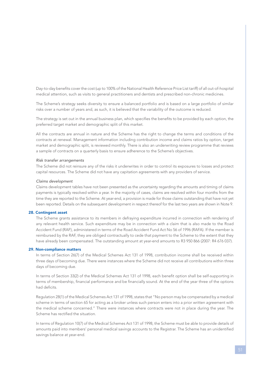Day-to-day benefits cover the cost (up to 100% of the National Health Reference Price List tariff) of all out-of-hospital medical attention, such as visits to general practitioners and dentists and prescribed non-chronic medicines.

The Scheme's strategy seeks diversity to ensure a balanced portfolio and is based on a large portfolio of similar risks over a number of years and, as such, it is believed that the variability of the outcome is reduced.

The strategy is set out in the annual business plan, which specifies the benefits to be provided by each option, the preferred target market and demographic split of this market.

All the contracts are annual in nature and the Scheme has the right to change the terms and conditions of the contracts at renewal. Management information including contribution income and claims ratios by option, target market and demographic split, is reviewed monthly. There is also an underwriting review programme that reviews a sample of contracts on a quarterly basis to ensure adherence to the Scheme's objectives.

#### *Risk transfer arrangements*

The Scheme did not reinsure any of the risks it underwrites in order to control its exposures to losses and protect capital resources. The Scheme did not have any capitation agreements with any providers of service.

#### *Claims development*

Claims development tables have not been presented as the uncertainty regarding the amounts and timing of claims payments is typically resolved within a year. In the majority of cases, claims are resolved within four months from the time they are reported to the Scheme. At year-end, a provision is made for those claims outstanding that have not yet been reported. Details on the subsequent development in respect thereof for the last two years are shown in Note 9.

#### 28. Contingent asset

The Scheme grants assistance to its members in defraying expenditure incurred in connection with rendering of any relevant health service. Such expenditure may be in connection with a claim that is also made to the Road Accident Fund (RAF), administered in terms of the Road Accident Fund Act No 56 of 1996 (RAFA). If the member is reimbursed by the RAF, they are obliged contractually to cede that payment to the Scheme to the extent that they have already been compensated. The outstanding amount at year-end amounts to R3 950 866 (2007: R4 676 037).

#### 29. Non-compliance matters

In terms of Section 26(7) of the Medical Schemes Act 131 of 1998, contribution income shall be received within three days of becoming due. There were instances where the Scheme did not receive all contributions within three days of becoming due.

In terms of Section 33(2) of the Medical Schemes Act 131 of 1998, each benefit option shall be self-supporting in terms of membership, financial performance and be financially sound. At the end of the year three of the options had deficits.

Regulation 28(1) of the Medical Schemes Act 131 of 1998, states that "No person may be compensated by a medical scheme in terms of section 65 for acting as a broker unless such person enters into a prior written agreement with the medical scheme concerned." There were instances where contracts were not in place during the year. The Scheme has rectified the situation.

In terms of Regulation 10(7) of the Medical Schemes Act 131 of 1998, the Scheme must be able to provide details of amounts paid into members' personal medical savings accounts to the Registrar. The Scheme has an unidentified savings balance at year-end.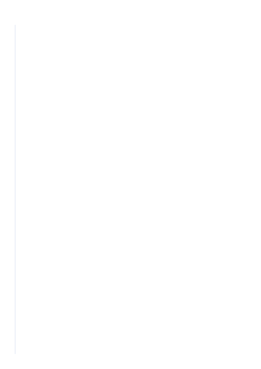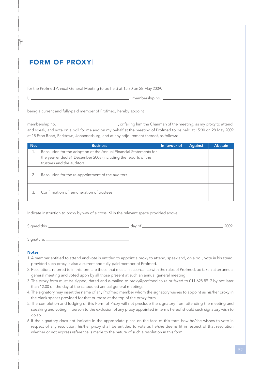# |Form of Proxy|

<span id="page-54-0"></span> $\rightarrow$ 

for the Profmed Annual General Meeting to be held at 15:30 on 28 May 2009.

I, , membership no. ,

being a current and fully-paid member of Profmed, hereby appoint *\_\_\_\_\_\_\_\_\_\_\_\_\_* 

membership no. \_\_\_\_\_\_\_\_\_\_\_\_\_\_\_\_\_\_\_\_\_\_\_\_\_\_\_\_\_\_\_, or failing him the Chairman of the meeting, as my proxy to attend, and speak, and vote on a poll for me and on my behalf at the meeting of Profmed to be held at 15:30 on 28 May 2009 at 15 Eton Road, Parktown, Johannesburg, and at any adjournment thereof, as follows:

| No. | <b>Business</b>                                                                                                                                                   | In favour of | <b>Against</b> | <b>Abstain</b> |
|-----|-------------------------------------------------------------------------------------------------------------------------------------------------------------------|--------------|----------------|----------------|
| 1.  | Resolution for the adoption of the Annual Financial Statements for<br>the year ended 31 December 2008 (including the reports of the<br>trustees and the auditors) |              |                |                |
| 2.  | Resolution for the re-appointment of the auditors                                                                                                                 |              |                |                |
| 3.  | Confirmation of remuneration of trustees                                                                                                                          |              |                |                |

Indicate instruction to proxy by way of a cross  $\boxtimes$  in the relevant space provided above.

Signed this day of 2009.

Signature:

### **Notes**

- 1.A member entitled to attend and vote is entitled to appoint a proxy to attend, speak and, on a poll, vote in his stead, provided such proxy is also a current and fully-paid member of Profmed.
- 2. Resolutions referred to in this form are those that must, in accordance with the rules of Profmed, be taken at an annual general meeting and voted upon by all those present at such an annual general meeting.
- 3. The proxy form must be signed, dated and e-mailed to proxy@profmed.co.za or faxed to 011 628 8917 by not later than 12:00 on the day of the scheduled annual general meeting.
- 4. The signatory may insert the name of any Profmed member whom the signatory wishes to appoint as his/her proxy in the blank spaces provided for that purpose at the top of the proxy form.
- 5. The completion and lodging of this Form of Proxy will not preclude the signatory from attending the meeting and speaking and voting in person to the exclusion of any proxy appointed in terms hereof should such signatory wish to do so.
- 6. If the signatory does not indicate in the appropriate place on the face of this form how he/she wishes to vote in respect of any resolution, his/her proxy shall be entitled to vote as he/she deems fit in respect of that resolution whether or not express reference is made to the nature of such a resolution in this form.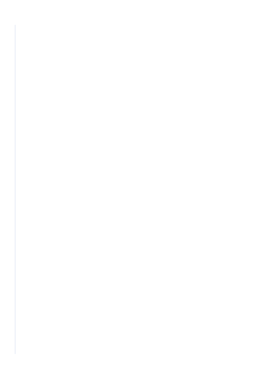